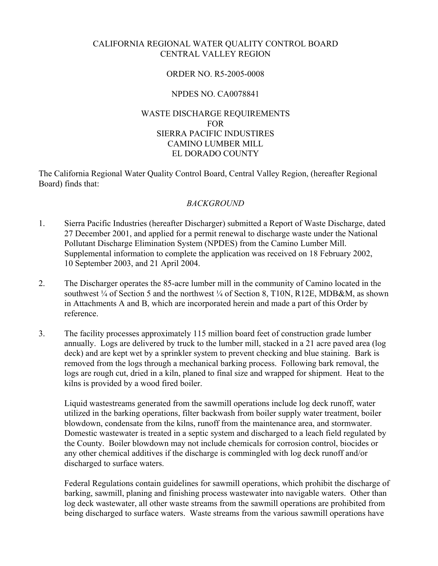# CALIFORNIA REGIONAL WATER QUALITY CONTROL BOARD CENTRAL VALLEY REGION

### ORDER NO. R5-2005-0008

# NPDES NO. CA0078841

# WASTE DISCHARGE REQUIREMENTS FOR SIERRA PACIFIC INDUSTIRES CAMINO LUMBER MILL EL DORADO COUNTY

The California Regional Water Quality Control Board, Central Valley Region, (hereafter Regional Board) finds that:

### *BACKGROUND*

- 1. Sierra Pacific Industries (hereafter Discharger) submitted a Report of Waste Discharge, dated 27 December 2001, and applied for a permit renewal to discharge waste under the National Pollutant Discharge Elimination System (NPDES) from the Camino Lumber Mill. Supplemental information to complete the application was received on 18 February 2002, 10 September 2003, and 21 April 2004.
- 2. The Discharger operates the 85-acre lumber mill in the community of Camino located in the southwest <sup>1</sup>/4 of Section 5 and the northwest <sup>1</sup>/4 of Section 8, T10N, R12E, MDB&M, as shown in Attachments A and B, which are incorporated herein and made a part of this Order by reference.
- 3. The facility processes approximately 115 million board feet of construction grade lumber annually. Logs are delivered by truck to the lumber mill, stacked in a 21 acre paved area (log deck) and are kept wet by a sprinkler system to prevent checking and blue staining. Bark is removed from the logs through a mechanical barking process. Following bark removal, the logs are rough cut, dried in a kiln, planed to final size and wrapped for shipment. Heat to the kilns is provided by a wood fired boiler.

Liquid wastestreams generated from the sawmill operations include log deck runoff, water utilized in the barking operations, filter backwash from boiler supply water treatment, boiler blowdown, condensate from the kilns, runoff from the maintenance area, and stormwater. Domestic wastewater is treated in a septic system and discharged to a leach field regulated by the County. Boiler blowdown may not include chemicals for corrosion control, biocides or any other chemical additives if the discharge is commingled with log deck runoff and/or discharged to surface waters.

Federal Regulations contain guidelines for sawmill operations, which prohibit the discharge of barking, sawmill, planing and finishing process wastewater into navigable waters. Other than log deck wastewater, all other waste streams from the sawmill operations are prohibited from being discharged to surface waters. Waste streams from the various sawmill operations have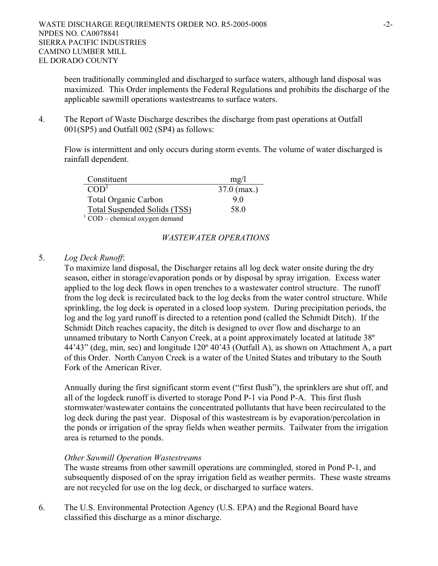been traditionally commingled and discharged to surface waters, although land disposal was maximized. This Order implements the Federal Regulations and prohibits the discharge of the applicable sawmill operations wastestreams to surface waters.

4. The Report of Waste Discharge describes the discharge from past operations at Outfall 001(SP5) and Outfall 002 (SP4) as follows:

Flow is intermittent and only occurs during storm events. The volume of water discharged is rainfall dependent.

| Constituent                      | mg/           |
|----------------------------------|---------------|
| COD <sup>1</sup>                 | $37.0$ (max.) |
| <b>Total Organic Carbon</b>      | 90            |
| Total Suspended Solids (TSS)     | 58.0          |
| $1$ COD – chemical oxygen demand |               |

### *WASTEWATER OPERATIONS*

### 5. *Log Deck Runoff*:

To maximize land disposal, the Discharger retains all log deck water onsite during the dry season, either in storage/evaporation ponds or by disposal by spray irrigation. Excess water applied to the log deck flows in open trenches to a wastewater control structure. The runoff from the log deck is recirculated back to the log decks from the water control structure. While sprinkling, the log deck is operated in a closed loop system. During precipitation periods, the log and the log yard runoff is directed to a retention pond (called the Schmidt Ditch). If the Schmidt Ditch reaches capacity, the ditch is designed to over flow and discharge to an unnamed tributary to North Canyon Creek, at a point approximately located at latitude 38º 44'43" (deg, min, sec) and longitude 120º 40'43 (Outfall A), as shown on Attachment A, a part of this Order. North Canyon Creek is a water of the United States and tributary to the South Fork of the American River.

Annually during the first significant storm event ("first flush"), the sprinklers are shut off, and all of the logdeck runoff is diverted to storage Pond P-1 via Pond P-A. This first flush stormwater/wastewater contains the concentrated pollutants that have been recirculated to the log deck during the past year. Disposal of this wastestream is by evaporation/percolation in the ponds or irrigation of the spray fields when weather permits. Tailwater from the irrigation area is returned to the ponds.

### *Other Sawmill Operation Wastestreams*

The waste streams from other sawmill operations are commingled, stored in Pond P-1, and subsequently disposed of on the spray irrigation field as weather permits. These waste streams are not recycled for use on the log deck, or discharged to surface waters.

6. The U.S. Environmental Protection Agency (U.S. EPA) and the Regional Board have classified this discharge as a minor discharge.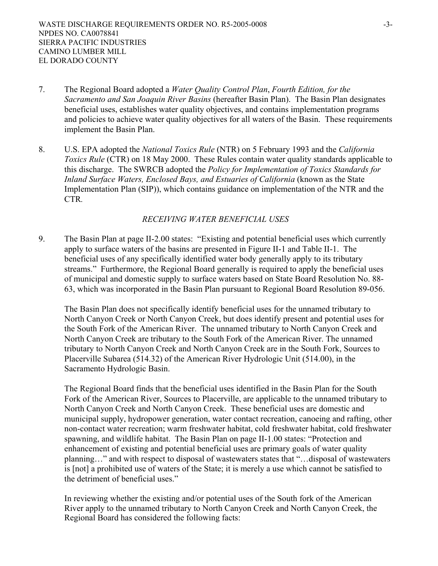- 7. The Regional Board adopted a *Water Quality Control Plan*, *Fourth Edition, for the Sacramento and San Joaquin River Basins* (hereafter Basin Plan). The Basin Plan designates beneficial uses, establishes water quality objectives, and contains implementation programs and policies to achieve water quality objectives for all waters of the Basin. These requirements implement the Basin Plan.
- 8. U.S. EPA adopted the *National Toxics Rule* (NTR) on 5 February 1993 and the *California Toxics Rule* (CTR) on 18 May 2000. These Rules contain water quality standards applicable to this discharge. The SWRCB adopted the *Policy for Implementation of Toxics Standards for Inland Surface Waters, Enclosed Bays, and Estuaries of California* (known as the State Implementation Plan (SIP)), which contains guidance on implementation of the NTR and the CTR*.*

#### *RECEIVING WATER BENEFICIAL USES*

9. The Basin Plan at page II-2.00 states: "Existing and potential beneficial uses which currently apply to surface waters of the basins are presented in Figure II-1 and Table II-1. The beneficial uses of any specifically identified water body generally apply to its tributary streams." Furthermore, the Regional Board generally is required to apply the beneficial uses of municipal and domestic supply to surface waters based on State Board Resolution No. 88- 63, which was incorporated in the Basin Plan pursuant to Regional Board Resolution 89-056.

The Basin Plan does not specifically identify beneficial uses for the unnamed tributary to North Canyon Creek or North Canyon Creek, but does identify present and potential uses for the South Fork of the American River. The unnamed tributary to North Canyon Creek and North Canyon Creek are tributary to the South Fork of the American River. The unnamed tributary to North Canyon Creek and North Canyon Creek are in the South Fork, Sources to Placerville Subarea (514.32) of the American River Hydrologic Unit (514.00), in the Sacramento Hydrologic Basin.

The Regional Board finds that the beneficial uses identified in the Basin Plan for the South Fork of the American River, Sources to Placerville, are applicable to the unnamed tributary to North Canyon Creek and North Canyon Creek. These beneficial uses are domestic and municipal supply, hydropower generation, water contact recreation, canoeing and rafting, other non-contact water recreation; warm freshwater habitat, cold freshwater habitat, cold freshwater spawning, and wildlife habitat. The Basin Plan on page II-1.00 states: "Protection and enhancement of existing and potential beneficial uses are primary goals of water quality planning…" and with respect to disposal of wastewaters states that "…disposal of wastewaters is [not] a prohibited use of waters of the State; it is merely a use which cannot be satisfied to the detriment of beneficial uses."

In reviewing whether the existing and/or potential uses of the South fork of the American River apply to the unnamed tributary to North Canyon Creek and North Canyon Creek, the Regional Board has considered the following facts: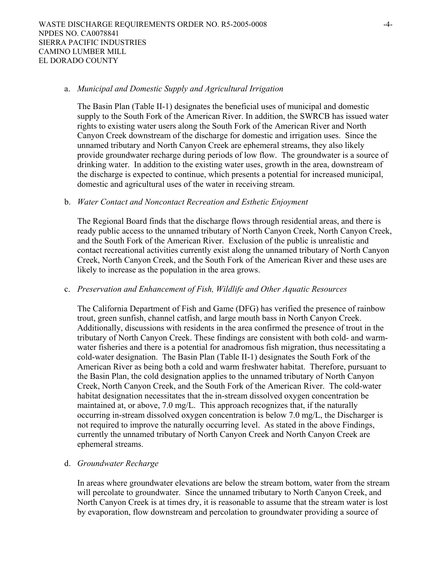#### a. *Municipal and Domestic Supply and Agricultural Irrigation*

 The Basin Plan (Table II-1) designates the beneficial uses of municipal and domestic supply to the South Fork of the American River. In addition, the SWRCB has issued water rights to existing water users along the South Fork of the American River and North Canyon Creek downstream of the discharge for domestic and irrigation uses. Since the unnamed tributary and North Canyon Creek are ephemeral streams, they also likely provide groundwater recharge during periods of low flow. The groundwater is a source of drinking water. In addition to the existing water uses, growth in the area, downstream of the discharge is expected to continue, which presents a potential for increased municipal, domestic and agricultural uses of the water in receiving stream.

#### b. *Water Contact and Noncontact Recreation and Esthetic Enjoyment*

 The Regional Board finds that the discharge flows through residential areas, and there is ready public access to the unnamed tributary of North Canyon Creek, North Canyon Creek, and the South Fork of the American River. Exclusion of the public is unrealistic and contact recreational activities currently exist along the unnamed tributary of North Canyon Creek, North Canyon Creek, and the South Fork of the American River and these uses are likely to increase as the population in the area grows.

### c. *Preservation and Enhancement of Fish, Wildlife and Other Aquatic Resources*

 The California Department of Fish and Game (DFG) has verified the presence of rainbow trout, green sunfish, channel catfish, and large mouth bass in North Canyon Creek. Additionally, discussions with residents in the area confirmed the presence of trout in the tributary of North Canyon Creek. These findings are consistent with both cold- and warmwater fisheries and there is a potential for anadromous fish migration, thus necessitating a cold-water designation. The Basin Plan (Table II-1) designates the South Fork of the American River as being both a cold and warm freshwater habitat. Therefore, pursuant to the Basin Plan, the cold designation applies to the unnamed tributary of North Canyon Creek, North Canyon Creek, and the South Fork of the American River. The cold-water habitat designation necessitates that the in-stream dissolved oxygen concentration be maintained at, or above, 7.0 mg/L. This approach recognizes that, if the naturally occurring in-stream dissolved oxygen concentration is below 7.0 mg/L, the Discharger is not required to improve the naturally occurring level. As stated in the above Findings, currently the unnamed tributary of North Canyon Creek and North Canyon Creek are ephemeral streams.

#### d. *Groundwater Recharge*

In areas where groundwater elevations are below the stream bottom, water from the stream will percolate to groundwater. Since the unnamed tributary to North Canyon Creek, and North Canyon Creek is at times dry, it is reasonable to assume that the stream water is lost by evaporation, flow downstream and percolation to groundwater providing a source of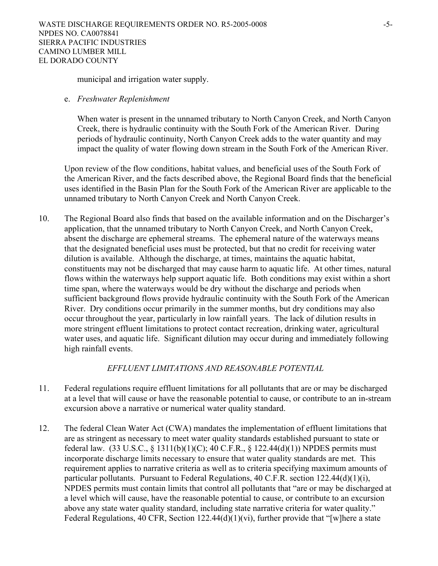municipal and irrigation water supply.

#### e. *Freshwater Replenishment*

When water is present in the unnamed tributary to North Canyon Creek, and North Canyon Creek, there is hydraulic continuity with the South Fork of the American River. During periods of hydraulic continuity, North Canyon Creek adds to the water quantity and may impact the quality of water flowing down stream in the South Fork of the American River.

Upon review of the flow conditions, habitat values, and beneficial uses of the South Fork of the American River, and the facts described above, the Regional Board finds that the beneficial uses identified in the Basin Plan for the South Fork of the American River are applicable to the unnamed tributary to North Canyon Creek and North Canyon Creek.

10. The Regional Board also finds that based on the available information and on the Discharger's application, that the unnamed tributary to North Canyon Creek, and North Canyon Creek, absent the discharge are ephemeral streams. The ephemeral nature of the waterways means that the designated beneficial uses must be protected, but that no credit for receiving water dilution is available. Although the discharge, at times, maintains the aquatic habitat, constituents may not be discharged that may cause harm to aquatic life. At other times, natural flows within the waterways help support aquatic life. Both conditions may exist within a short time span, where the waterways would be dry without the discharge and periods when sufficient background flows provide hydraulic continuity with the South Fork of the American River. Dry conditions occur primarily in the summer months, but dry conditions may also occur throughout the year, particularly in low rainfall years. The lack of dilution results in more stringent effluent limitations to protect contact recreation, drinking water, agricultural water uses, and aquatic life. Significant dilution may occur during and immediately following high rainfall events.

### *EFFLUENT LIMITATIONS AND REASONABLE POTENTIAL*

- 11. Federal regulations require effluent limitations for all pollutants that are or may be discharged at a level that will cause or have the reasonable potential to cause, or contribute to an in-stream excursion above a narrative or numerical water quality standard.
- 12. The federal Clean Water Act (CWA) mandates the implementation of effluent limitations that are as stringent as necessary to meet water quality standards established pursuant to state or federal law.  $(33 \text{ U.S.C.}, \S 1311(b)(1)(C); 40 \text{ C.F.R.}, \S 122.44(d)(1))$  NPDES permits must incorporate discharge limits necessary to ensure that water quality standards are met. This requirement applies to narrative criteria as well as to criteria specifying maximum amounts of particular pollutants. Pursuant to Federal Regulations, 40 C.F.R. section 122.44(d)(1)(i), NPDES permits must contain limits that control all pollutants that "are or may be discharged at a level which will cause, have the reasonable potential to cause, or contribute to an excursion above any state water quality standard, including state narrative criteria for water quality." Federal Regulations, 40 CFR, Section  $122.44(d)(1)(vi)$ , further provide that "[w]here a state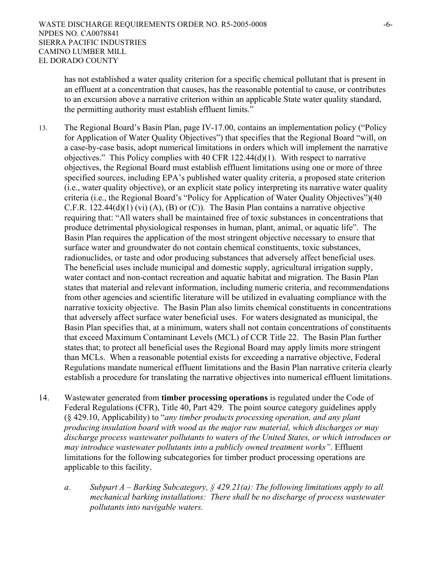has not established a water quality criterion for a specific chemical pollutant that is present in an effluent at a concentration that causes, has the reasonable potential to cause, or contributes to an excursion above a narrative criterion within an applicable State water quality standard, the permitting authority must establish effluent limits."

- 13. The Regional Board's Basin Plan, page IV-17.00, contains an implementation policy ("Policy for Application of Water Quality Objectives") that specifies that the Regional Board "will, on a case-by-case basis, adopt numerical limitations in orders which will implement the narrative objectives." This Policy complies with 40 CFR 122.44(d)(1). With respect to narrative objectives, the Regional Board must establish effluent limitations using one or more of three specified sources, including EPA's published water quality criteria, a proposed state criterion (i.e., water quality objective), or an explicit state policy interpreting its narrative water quality criteria (i.e., the Regional Board's "Policy for Application of Water Quality Objectives")(40 C.F.R. 122.44(d)(1) (vi) (A), (B) or (C)). The Basin Plan contains a narrative objective requiring that: "All waters shall be maintained free of toxic substances in concentrations that produce detrimental physiological responses in human, plant, animal, or aquatic life". The Basin Plan requires the application of the most stringent objective necessary to ensure that surface water and groundwater do not contain chemical constituents, toxic substances, radionuclides, or taste and odor producing substances that adversely affect beneficial uses. The beneficial uses include municipal and domestic supply, agricultural irrigation supply, water contact and non-contact recreation and aquatic habitat and migration. The Basin Plan states that material and relevant information, including numeric criteria, and recommendations from other agencies and scientific literature will be utilized in evaluating compliance with the narrative toxicity objective. The Basin Plan also limits chemical constituents in concentrations that adversely affect surface water beneficial uses. For waters designated as municipal, the Basin Plan specifies that, at a minimum, waters shall not contain concentrations of constituents that exceed Maximum Contaminant Levels (MCL) of CCR Title 22. The Basin Plan further states that; to protect all beneficial uses the Regional Board may apply limits more stringent than MCLs. When a reasonable potential exists for exceeding a narrative objective, Federal Regulations mandate numerical effluent limitations and the Basin Plan narrative criteria clearly establish a procedure for translating the narrative objectives into numerical effluent limitations.
- 14. Wastewater generated from **timber processing operations** is regulated under the Code of Federal Regulations (CFR), Title 40, Part 429. The point source category guidelines apply (§ 429.10, Applicability) to "*any timber products processing operation, and any plant producing insulation board with wood as the major raw material, which discharges or may discharge process wastewater pollutants to waters of the United States, or which introduces or may introduce wastewater pollutants into a publicly owned treatment works"*. Effluent limitations for the following subcategories for timber product processing operations are applicable to this facility.
	- *a. Subpart A Barking Subcategory, § 429.21(a): The following limitations apply to all mechanical barking installations: There shall be no discharge of process wastewater pollutants into navigable waters.*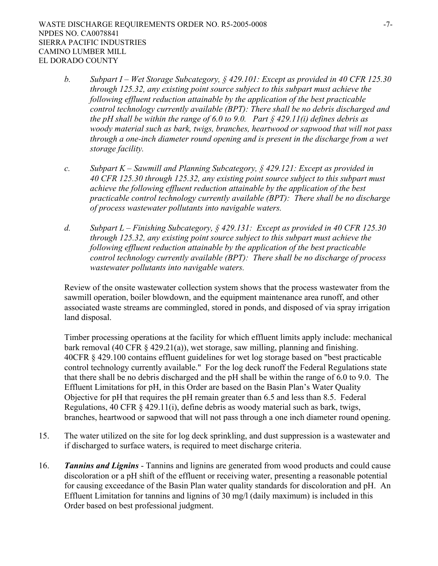- *b. Subpart I Wet Storage Subcategory, § 429.101: Except as provided in 40 CFR 125.30 through 125.32, any existing point source subject to this subpart must achieve the following effluent reduction attainable by the application of the best practicable control technology currently available (BPT): There shall be no debris discharged and the pH shall be within the range of 6.0 to 9.0. Part § 429.11(i) defines debris as woody material such as bark, twigs, branches, heartwood or sapwood that will not pass through a one-inch diameter round opening and is present in the discharge from a wet storage facility.*
- *c. Subpart K Sawmill and Planning Subcategory, § 429.121: Except as provided in 40 CFR 125.30 through 125.32, any existing point source subject to this subpart must achieve the following effluent reduction attainable by the application of the best practicable control technology currently available (BPT): There shall be no discharge of process wastewater pollutants into navigable waters.*
- *d. Subpart L Finishing Subcategory, § 429.131: Except as provided in 40 CFR 125.30 through 125.32, any existing point source subject to this subpart must achieve the following effluent reduction attainable by the application of the best practicable control technology currently available (BPT): There shall be no discharge of process wastewater pollutants into navigable waters.*

 Review of the onsite wastewater collection system shows that the process wastewater from the sawmill operation, boiler blowdown, and the equipment maintenance area runoff, and other associated waste streams are commingled, stored in ponds, and disposed of via spray irrigation land disposal.

 Timber processing operations at the facility for which effluent limits apply include: mechanical bark removal (40 CFR § 429.21(a)), wet storage, saw milling, planning and finishing. 40CFR § 429.100 contains effluent guidelines for wet log storage based on "best practicable control technology currently available." For the log deck runoff the Federal Regulations state that there shall be no debris discharged and the pH shall be within the range of 6.0 to 9.0. The Effluent Limitations for pH, in this Order are based on the Basin Plan's Water Quality Objective for pH that requires the pH remain greater than 6.5 and less than 8.5. Federal Regulations, 40 CFR § 429.11(i), define debris as woody material such as bark, twigs, branches, heartwood or sapwood that will not pass through a one inch diameter round opening.

- 15. The water utilized on the site for log deck sprinkling, and dust suppression is a wastewater and if discharged to surface waters, is required to meet discharge criteria.
- 16. *Tannins and Lignins* Tannins and lignins are generated from wood products and could cause discoloration or a pH shift of the effluent or receiving water, presenting a reasonable potential for causing exceedance of the Basin Plan water quality standards for discoloration and pH. An Effluent Limitation for tannins and lignins of 30 mg/l (daily maximum) is included in this Order based on best professional judgment.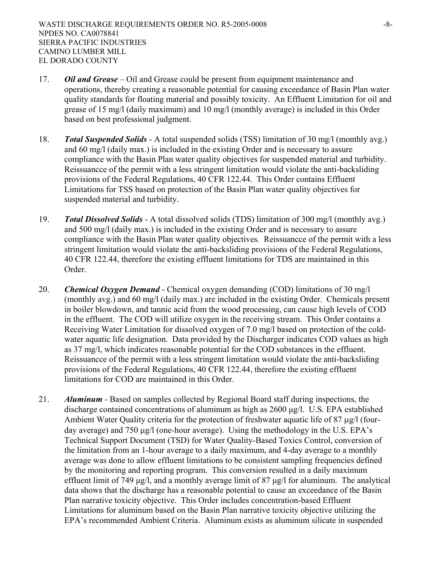- 17. *Oil and Grease –* Oil and Grease could be present from equipment maintenance and operations, thereby creating a reasonable potential for causing exceedance of Basin Plan water quality standards for floating material and possibly toxicity. An Effluent Limitation for oil and grease of 15 mg/l (daily maximum) and 10 mg/l (monthly average) is included in this Order based on best professional judgment.
- 18. *Total Suspended Solids* A total suspended solids (TSS) limitation of 30 mg/l (monthly avg.) and 60 mg/l (daily max.) is included in the existing Order and is necessary to assure compliance with the Basin Plan water quality objectives for suspended material and turbidity. Reissuancce of the permit with a less stringent limitation would violate the anti-backsliding provisions of the Federal Regulations, 40 CFR 122.44. This Order contains Effluent Limitations for TSS based on protection of the Basin Plan water quality objectives for suspended material and turbidity.
- 19. *Total Dissolved Solids* A total dissolved solids (TDS) limitation of 300 mg/l (monthly avg.) and 500 mg/l (daily max.) is included in the existing Order and is necessary to assure compliance with the Basin Plan water quality objectives. Reissuancce of the permit with a less stringent limitation would violate the anti-backsliding provisions of the Federal Regulations, 40 CFR 122.44, therefore the existing effluent limitations for TDS are maintained in this Order.
- 20. *Chemical Oxygen Demand* Chemical oxygen demanding (COD) limitations of 30 mg/l (monthly avg.) and 60 mg/l (daily max.) are included in the existing Order. Chemicals present in boiler blowdown, and tannic acid from the wood processing, can cause high levels of COD in the effluent. The COD will utilize oxygen in the receiving stream. This Order contains a Receiving Water Limitation for dissolved oxygen of 7.0 mg/l based on protection of the coldwater aquatic life designation. Data provided by the Discharger indicates COD values as high as 37 mg/l, which indicates reasonable potential for the COD substances in the effluent. Reissuancce of the permit with a less stringent limitation would violate the anti-backsliding provisions of the Federal Regulations, 40 CFR 122.44, therefore the existing effluent limitations for COD are maintained in this Order.
- 21. *Aluminum* Based on samples collected by Regional Board staff during inspections, the discharge contained concentrations of aluminum as high as 2600 µg/l. U.S. EPA established Ambient Water Quality criteria for the protection of freshwater aquatic life of 87  $\mu$ g/l (fourday average) and 750  $\mu$ g/l (one-hour average). Using the methodology in the U.S. EPA's Technical Support Document (TSD) for Water Quality-Based Toxics Control, conversion of the limitation from an 1-hour average to a daily maximum, and 4-day average to a monthly average was done to allow effluent limitations to be consistent sampling frequencies defined by the monitoring and reporting program. This conversion resulted in a daily maximum effluent limit of 749 ug/l, and a monthly average limit of 87 ug/l for aluminum. The analytical data shows that the discharge has a reasonable potential to cause an exceedance of the Basin Plan narrative toxicity objective. This Order includes concentration-based Effluent Limitations for aluminum based on the Basin Plan narrative toxicity objective utilizing the EPA's recommended Ambient Criteria. Aluminum exists as aluminum silicate in suspended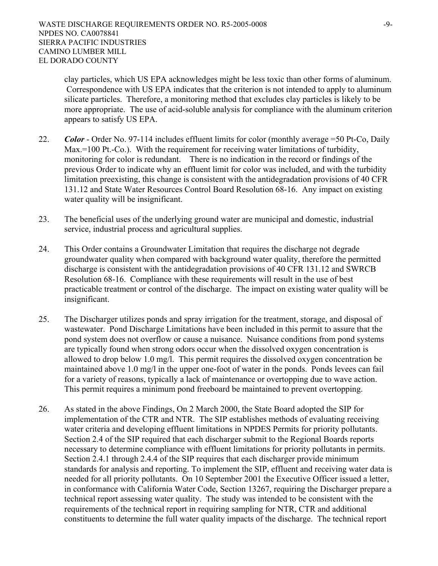clay particles, which US EPA acknowledges might be less toxic than other forms of aluminum. Correspondence with US EPA indicates that the criterion is not intended to apply to aluminum silicate particles. Therefore, a monitoring method that excludes clay particles is likely to be more appropriate. The use of acid-soluble analysis for compliance with the aluminum criterion appears to satisfy US EPA.

- 22. *Color* Order No. 97-114 includes effluent limits for color (monthly average =50 Pt-Co, Daily Max.=100 Pt.-Co.). With the requirement for receiving water limitations of turbidity, monitoring for color is redundant. There is no indication in the record or findings of the previous Order to indicate why an effluent limit for color was included, and with the turbidity limitation preexisting, this change is consistent with the antidegradation provisions of 40 CFR 131.12 and State Water Resources Control Board Resolution 68-16. Any impact on existing water quality will be insignificant.
- 23. The beneficial uses of the underlying ground water are municipal and domestic, industrial service, industrial process and agricultural supplies.
- 24. This Order contains a Groundwater Limitation that requires the discharge not degrade groundwater quality when compared with background water quality, therefore the permitted discharge is consistent with the antidegradation provisions of 40 CFR 131.12 and SWRCB Resolution 68-16. Compliance with these requirements will result in the use of best practicable treatment or control of the discharge. The impact on existing water quality will be insignificant.
- 25. The Discharger utilizes ponds and spray irrigation for the treatment, storage, and disposal of wastewater. Pond Discharge Limitations have been included in this permit to assure that the pond system does not overflow or cause a nuisance. Nuisance conditions from pond systems are typically found when strong odors occur when the dissolved oxygen concentration is allowed to drop below 1.0 mg/l. This permit requires the dissolved oxygen concentration be maintained above 1.0 mg/l in the upper one-foot of water in the ponds. Ponds levees can fail for a variety of reasons, typically a lack of maintenance or overtopping due to wave action. This permit requires a minimum pond freeboard be maintained to prevent overtopping.
- 26. As stated in the above Findings, On 2 March 2000, the State Board adopted the SIP for implementation of the CTR and NTR. The SIP establishes methods of evaluating receiving water criteria and developing effluent limitations in NPDES Permits for priority pollutants. Section 2.4 of the SIP required that each discharger submit to the Regional Boards reports necessary to determine compliance with effluent limitations for priority pollutants in permits. Section 2.4.1 through 2.4.4 of the SIP requires that each discharger provide minimum standards for analysis and reporting. To implement the SIP, effluent and receiving water data is needed for all priority pollutants. On 10 September 2001 the Executive Officer issued a letter, in conformance with California Water Code, Section 13267, requiring the Discharger prepare a technical report assessing water quality. The study was intended to be consistent with the requirements of the technical report in requiring sampling for NTR, CTR and additional constituents to determine the full water quality impacts of the discharge. The technical report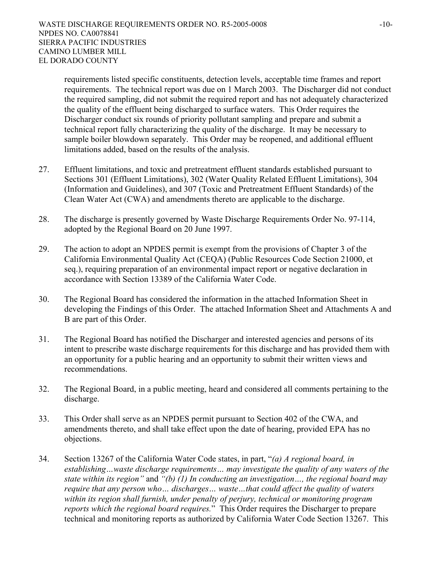requirements listed specific constituents, detection levels, acceptable time frames and report requirements. The technical report was due on 1 March 2003. The Discharger did not conduct the required sampling, did not submit the required report and has not adequately characterized the quality of the effluent being discharged to surface waters. This Order requires the Discharger conduct six rounds of priority pollutant sampling and prepare and submit a technical report fully characterizing the quality of the discharge. It may be necessary to sample boiler blowdown separately. This Order may be reopened, and additional effluent limitations added, based on the results of the analysis.

- 27. Effluent limitations, and toxic and pretreatment effluent standards established pursuant to Sections 301 (Effluent Limitations), 302 (Water Quality Related Effluent Limitations), 304 (Information and Guidelines), and 307 (Toxic and Pretreatment Effluent Standards) of the Clean Water Act (CWA) and amendments thereto are applicable to the discharge.
- 28. The discharge is presently governed by Waste Discharge Requirements Order No. 97-114, adopted by the Regional Board on 20 June 1997.
- 29. The action to adopt an NPDES permit is exempt from the provisions of Chapter 3 of the California Environmental Quality Act (CEQA) (Public Resources Code Section 21000, et seq.), requiring preparation of an environmental impact report or negative declaration in accordance with Section 13389 of the California Water Code.
- 30. The Regional Board has considered the information in the attached Information Sheet in developing the Findings of this Order. The attached Information Sheet and Attachments A and B are part of this Order.
- 31. The Regional Board has notified the Discharger and interested agencies and persons of its intent to prescribe waste discharge requirements for this discharge and has provided them with an opportunity for a public hearing and an opportunity to submit their written views and recommendations.
- 32. The Regional Board, in a public meeting, heard and considered all comments pertaining to the discharge.
- 33. This Order shall serve as an NPDES permit pursuant to Section 402 of the CWA, and amendments thereto, and shall take effect upon the date of hearing, provided EPA has no objections.
- 34. Section 13267 of the California Water Code states, in part, "*(a) A regional board, in establishing…waste discharge requirements… may investigate the quality of any waters of the state within its region"* and *"(b) (1) In conducting an investigation…, the regional board may require that any person who… discharges… waste…that could affect the quality of waters within its region shall furnish, under penalty of perjury, technical or monitoring program reports which the regional board requires.*" This Order requires the Discharger to prepare technical and monitoring reports as authorized by California Water Code Section 13267. This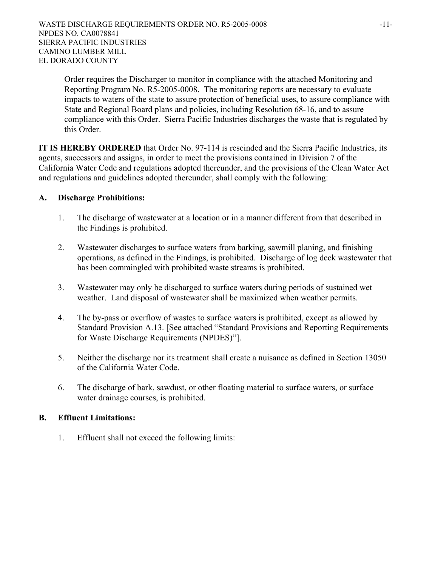Order requires the Discharger to monitor in compliance with the attached Monitoring and Reporting Program No. R5-2005-0008. The monitoring reports are necessary to evaluate impacts to waters of the state to assure protection of beneficial uses, to assure compliance with State and Regional Board plans and policies, including Resolution 68-16, and to assure compliance with this Order. Sierra Pacific Industries discharges the waste that is regulated by this Order.

**IT IS HEREBY ORDERED** that Order No. 97-114 is rescinded and the Sierra Pacific Industries, its agents, successors and assigns, in order to meet the provisions contained in Division 7 of the California Water Code and regulations adopted thereunder, and the provisions of the Clean Water Act and regulations and guidelines adopted thereunder, shall comply with the following:

### **A. Discharge Prohibitions:**

- 1. The discharge of wastewater at a location or in a manner different from that described in the Findings is prohibited.
- 2. Wastewater discharges to surface waters from barking, sawmill planing, and finishing operations, as defined in the Findings, is prohibited. Discharge of log deck wastewater that has been commingled with prohibited waste streams is prohibited.
- 3. Wastewater may only be discharged to surface waters during periods of sustained wet weather. Land disposal of wastewater shall be maximized when weather permits.
- 4. The by-pass or overflow of wastes to surface waters is prohibited, except as allowed by Standard Provision A.13. [See attached "Standard Provisions and Reporting Requirements for Waste Discharge Requirements (NPDES)"].
- 5. Neither the discharge nor its treatment shall create a nuisance as defined in Section 13050 of the California Water Code.
- 6. The discharge of bark, sawdust, or other floating material to surface waters, or surface water drainage courses, is prohibited.

# **B. Effluent Limitations:**

1. Effluent shall not exceed the following limits: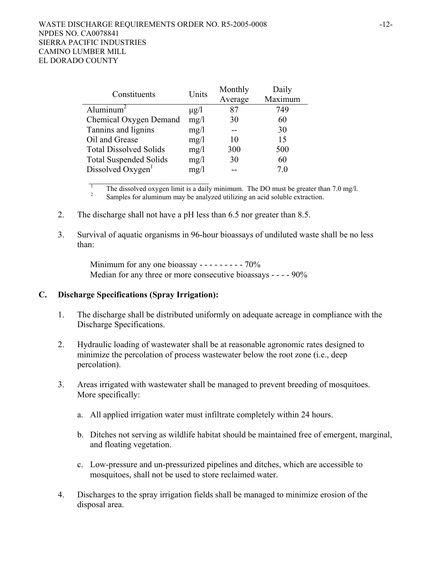| Constituents                  | Units     | Monthly | Daily   |
|-------------------------------|-----------|---------|---------|
|                               |           | Average | Maximum |
| Aluminum <sup>2</sup>         | $\mu$ g/l | 87      | 749     |
| Chemical Oxygen Demand        | mg/1      | 30      | 60      |
| Tannins and lignins           | mg/1      |         | 30      |
| Oil and Grease                | mg/1      | 10      | 15      |
| <b>Total Dissolved Solids</b> | mg/1      | 300     | 500     |
| <b>Total Suspended Solids</b> | mg/1      | 30      | 60      |
| Dissolved Oxygen <sup>1</sup> | mg/1      |         | 70      |

<sup>1</sup> The dissolved oxygen limit is a daily minimum. The DO must be greater than 7.0 mg/l.<br><sup>2</sup> Samples for aluminum may be analyzed utilizing an acid soluble extraction.

- 2. The discharge shall not have a pH less than 6.5 nor greater than 8.5.
- 3. Survival of aquatic organisms in 96-hour bioassays of undiluted waste shall be no less than:

Minimum for any one bioassay - - - - - - - - - 70% Median for any three or more consecutive bioassays - - - - 90%

### **C. Discharge Specifications (Spray Irrigation):**

- 1. The discharge shall be distributed uniformly on adequate acreage in compliance with the Discharge Specifications.
- 2. Hydraulic loading of wastewater shall be at reasonable agronomic rates designed to minimize the percolation of process wastewater below the root zone (i.e., deep percolation).
- 3. Areas irrigated with wastewater shall be managed to prevent breeding of mosquitoes. More specifically:
	- a. All applied irrigation water must infiltrate completely within 24 hours.
	- b. Ditches not serving as wildlife habitat should be maintained free of emergent, marginal, and floating vegetation.
	- c. Low-pressure and un-pressurized pipelines and ditches, which are accessible to mosquitoes, shall not be used to store reclaimed water.
- 4. Discharges to the spray irrigation fields shall be managed to minimize erosion of the disposal area.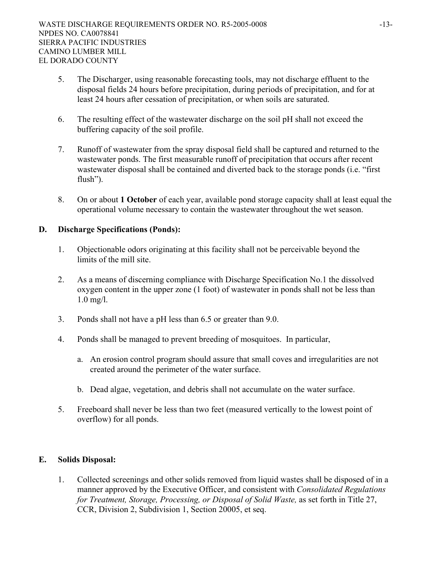- 5. The Discharger, using reasonable forecasting tools, may not discharge effluent to the disposal fields 24 hours before precipitation, during periods of precipitation, and for at least 24 hours after cessation of precipitation, or when soils are saturated.
- 6. The resulting effect of the wastewater discharge on the soil pH shall not exceed the buffering capacity of the soil profile.
- 7. Runoff of wastewater from the spray disposal field shall be captured and returned to the wastewater ponds. The first measurable runoff of precipitation that occurs after recent wastewater disposal shall be contained and diverted back to the storage ponds (i.e. "first flush").
- 8. On or about **1 October** of each year, available pond storage capacity shall at least equal the operational volume necessary to contain the wastewater throughout the wet season.

# **D. Discharge Specifications (Ponds):**

- 1. Objectionable odors originating at this facility shall not be perceivable beyond the limits of the mill site.
- 2. As a means of discerning compliance with Discharge Specification No.1 the dissolved oxygen content in the upper zone (1 foot) of wastewater in ponds shall not be less than 1.0 mg/l.
- 3. Ponds shall not have a pH less than 6.5 or greater than 9.0.
- 4. Ponds shall be managed to prevent breeding of mosquitoes. In particular,
	- a. An erosion control program should assure that small coves and irregularities are not created around the perimeter of the water surface.
	- b. Dead algae, vegetation, and debris shall not accumulate on the water surface.
- 5. Freeboard shall never be less than two feet (measured vertically to the lowest point of overflow) for all ponds.

### **E. Solids Disposal:**

1. Collected screenings and other solids removed from liquid wastes shall be disposed of in a manner approved by the Executive Officer, and consistent with *Consolidated Regulations for Treatment, Storage, Processing, or Disposal of Solid Waste,* as set forth in Title 27, CCR, Division 2, Subdivision 1, Section 20005, et seq.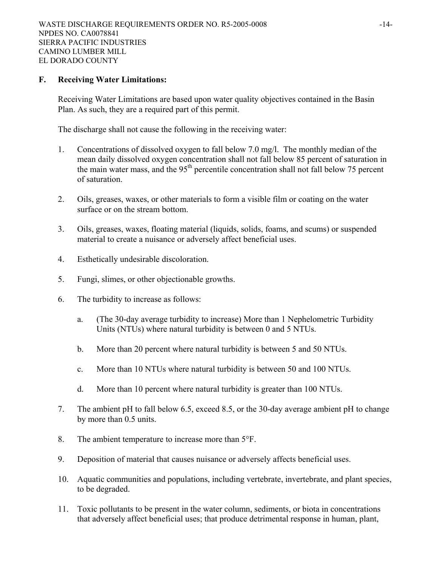#### **F. Receiving Water Limitations:**

Receiving Water Limitations are based upon water quality objectives contained in the Basin Plan. As such, they are a required part of this permit.

The discharge shall not cause the following in the receiving water:

- 1. Concentrations of dissolved oxygen to fall below 7.0 mg/l. The monthly median of the mean daily dissolved oxygen concentration shall not fall below 85 percent of saturation in the main water mass, and the 95<sup>th</sup> percentile concentration shall not fall below 75 percent of saturation.
- 2. Oils, greases, waxes, or other materials to form a visible film or coating on the water surface or on the stream bottom.
- 3. Oils, greases, waxes, floating material (liquids, solids, foams, and scums) or suspended material to create a nuisance or adversely affect beneficial uses.
- 4. Esthetically undesirable discoloration.
- 5. Fungi, slimes, or other objectionable growths.
- 6. The turbidity to increase as follows:
	- a. (The 30-day average turbidity to increase) More than 1 Nephelometric Turbidity Units (NTUs) where natural turbidity is between 0 and 5 NTUs.
	- b. More than 20 percent where natural turbidity is between 5 and 50 NTUs.
	- c. More than 10 NTUs where natural turbidity is between 50 and 100 NTUs.
	- d. More than 10 percent where natural turbidity is greater than 100 NTUs.
- 7. The ambient pH to fall below 6.5, exceed 8.5, or the 30-day average ambient pH to change by more than 0.5 units.
- 8. The ambient temperature to increase more than 5°F.
- 9. Deposition of material that causes nuisance or adversely affects beneficial uses.
- 10. Aquatic communities and populations, including vertebrate, invertebrate, and plant species, to be degraded.
- 11. Toxic pollutants to be present in the water column, sediments, or biota in concentrations that adversely affect beneficial uses; that produce detrimental response in human, plant,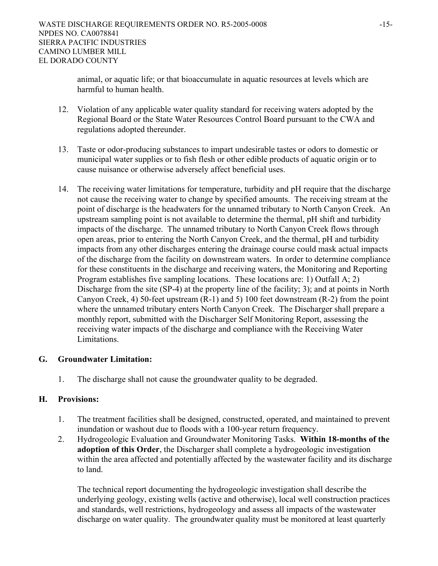animal, or aquatic life; or that bioaccumulate in aquatic resources at levels which are harmful to human health.

- 12. Violation of any applicable water quality standard for receiving waters adopted by the Regional Board or the State Water Resources Control Board pursuant to the CWA and regulations adopted thereunder.
- 13. Taste or odor-producing substances to impart undesirable tastes or odors to domestic or municipal water supplies or to fish flesh or other edible products of aquatic origin or to cause nuisance or otherwise adversely affect beneficial uses.
- 14. The receiving water limitations for temperature, turbidity and pH require that the discharge not cause the receiving water to change by specified amounts. The receiving stream at the point of discharge is the headwaters for the unnamed tributary to North Canyon Creek. An upstream sampling point is not available to determine the thermal, pH shift and turbidity impacts of the discharge. The unnamed tributary to North Canyon Creek flows through open areas, prior to entering the North Canyon Creek, and the thermal, pH and turbidity impacts from any other discharges entering the drainage course could mask actual impacts of the discharge from the facility on downstream waters. In order to determine compliance for these constituents in the discharge and receiving waters, the Monitoring and Reporting Program establishes five sampling locations. These locations are: 1) Outfall A; 2) Discharge from the site (SP-4) at the property line of the facility; 3); and at points in North Canyon Creek, 4) 50-feet upstream (R-1) and 5) 100 feet downstream (R-2) from the point where the unnamed tributary enters North Canyon Creek. The Discharger shall prepare a monthly report, submitted with the Discharger Self Monitoring Report, assessing the receiving water impacts of the discharge and compliance with the Receiving Water Limitations.

# **G. Groundwater Limitation:**

1. The discharge shall not cause the groundwater quality to be degraded.

# **H. Provisions:**

- 1. The treatment facilities shall be designed, constructed, operated, and maintained to prevent inundation or washout due to floods with a 100-year return frequency.
- 2. Hydrogeologic Evaluation and Groundwater Monitoring Tasks. **Within 18-months of the adoption of this Order**, the Discharger shall complete a hydrogeologic investigation within the area affected and potentially affected by the wastewater facility and its discharge to land.

The technical report documenting the hydrogeologic investigation shall describe the underlying geology, existing wells (active and otherwise), local well construction practices and standards, well restrictions, hydrogeology and assess all impacts of the wastewater discharge on water quality. The groundwater quality must be monitored at least quarterly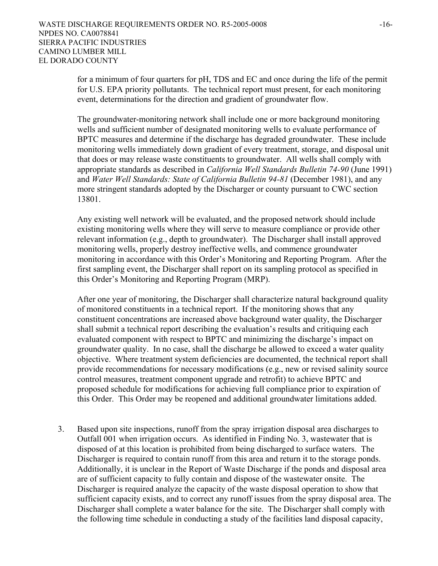for a minimum of four quarters for pH, TDS and EC and once during the life of the permit for U.S. EPA priority pollutants. The technical report must present, for each monitoring event, determinations for the direction and gradient of groundwater flow.

The groundwater-monitoring network shall include one or more background monitoring wells and sufficient number of designated monitoring wells to evaluate performance of BPTC measures and determine if the discharge has degraded groundwater. These include monitoring wells immediately down gradient of every treatment, storage, and disposal unit that does or may release waste constituents to groundwater. All wells shall comply with appropriate standards as described in *California Well Standards Bulletin 74-90* (June 1991) and *Water Well Standards: State of California Bulletin 94-81* (December 1981), and any more stringent standards adopted by the Discharger or county pursuant to CWC section 13801.

Any existing well network will be evaluated, and the proposed network should include existing monitoring wells where they will serve to measure compliance or provide other relevant information (e.g., depth to groundwater). The Discharger shall install approved monitoring wells, properly destroy ineffective wells, and commence groundwater monitoring in accordance with this Order's Monitoring and Reporting Program. After the first sampling event, the Discharger shall report on its sampling protocol as specified in this Order's Monitoring and Reporting Program (MRP).

After one year of monitoring, the Discharger shall characterize natural background quality of monitored constituents in a technical report. If the monitoring shows that any constituent concentrations are increased above background water quality, the Discharger shall submit a technical report describing the evaluation's results and critiquing each evaluated component with respect to BPTC and minimizing the discharge's impact on groundwater quality. In no case, shall the discharge be allowed to exceed a water quality objective. Where treatment system deficiencies are documented, the technical report shall provide recommendations for necessary modifications (e.g., new or revised salinity source control measures, treatment component upgrade and retrofit) to achieve BPTC and proposed schedule for modifications for achieving full compliance prior to expiration of this Order. This Order may be reopened and additional groundwater limitations added.

3. Based upon site inspections, runoff from the spray irrigation disposal area discharges to Outfall 001 when irrigation occurs. As identified in Finding No. 3, wastewater that is disposed of at this location is prohibited from being discharged to surface waters. The Discharger is required to contain runoff from this area and return it to the storage ponds. Additionally, it is unclear in the Report of Waste Discharge if the ponds and disposal area are of sufficient capacity to fully contain and dispose of the wastewater onsite. The Discharger is required analyze the capacity of the waste disposal operation to show that sufficient capacity exists, and to correct any runoff issues from the spray disposal area. The Discharger shall complete a water balance for the site. The Discharger shall comply with the following time schedule in conducting a study of the facilities land disposal capacity,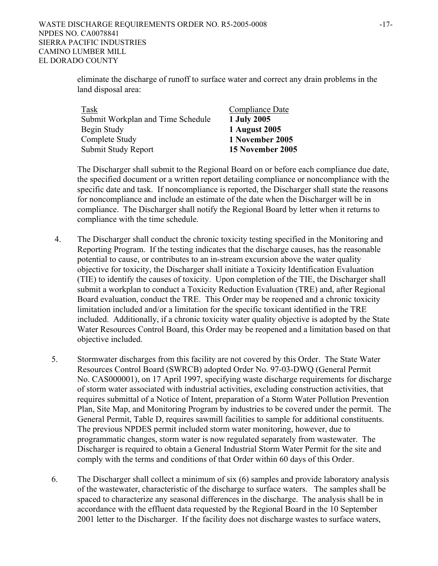eliminate the discharge of runoff to surface water and correct any drain problems in the land disposal area:

| Task                              | Compliance Date  |
|-----------------------------------|------------------|
| Submit Workplan and Time Schedule | 1 July 2005      |
| Begin Study                       | 1 August 2005    |
| Complete Study                    | 1 November 2005  |
| Submit Study Report               | 15 November 2005 |

The Discharger shall submit to the Regional Board on or before each compliance due date, the specified document or a written report detailing compliance or noncompliance with the specific date and task. If noncompliance is reported, the Discharger shall state the reasons for noncompliance and include an estimate of the date when the Discharger will be in compliance. The Discharger shall notify the Regional Board by letter when it returns to compliance with the time schedule.

- 4. The Discharger shall conduct the chronic toxicity testing specified in the Monitoring and Reporting Program. If the testing indicates that the discharge causes, has the reasonable potential to cause, or contributes to an in-stream excursion above the water quality objective for toxicity, the Discharger shall initiate a Toxicity Identification Evaluation (TIE) to identify the causes of toxicity. Upon completion of the TIE, the Discharger shall submit a workplan to conduct a Toxicity Reduction Evaluation (TRE) and, after Regional Board evaluation, conduct the TRE. This Order may be reopened and a chronic toxicity limitation included and/or a limitation for the specific toxicant identified in the TRE included. Additionally, if a chronic toxicity water quality objective is adopted by the State Water Resources Control Board, this Order may be reopened and a limitation based on that objective included.
- 5. Stormwater discharges from this facility are not covered by this Order. The State Water Resources Control Board (SWRCB) adopted Order No. 97-03-DWQ (General Permit No. CAS000001), on 17 April 1997, specifying waste discharge requirements for discharge of storm water associated with industrial activities, excluding construction activities, that requires submittal of a Notice of Intent, preparation of a Storm Water Pollution Prevention Plan, Site Map, and Monitoring Program by industries to be covered under the permit. The General Permit, Table D, requires sawmill facilities to sample for additional constituents. The previous NPDES permit included storm water monitoring, however, due to programmatic changes, storm water is now regulated separately from wastewater. The Discharger is required to obtain a General Industrial Storm Water Permit for the site and comply with the terms and conditions of that Order within 60 days of this Order.
- 6. The Discharger shall collect a minimum of six (6) samples and provide laboratory analysis of the wastewater, characteristic of the discharge to surface waters. The samples shall be spaced to characterize any seasonal differences in the discharge. The analysis shall be in accordance with the effluent data requested by the Regional Board in the 10 September 2001 letter to the Discharger. If the facility does not discharge wastes to surface waters,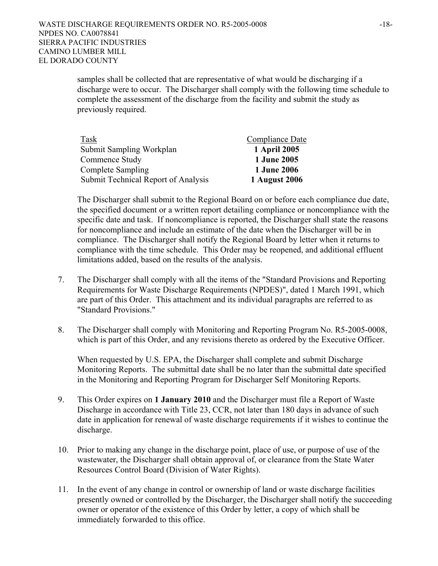samples shall be collected that are representative of what would be discharging if a discharge were to occur. The Discharger shall comply with the following time schedule to complete the assessment of the discharge from the facility and submit the study as previously required.

| Task                                | Compliance Date    |
|-------------------------------------|--------------------|
| Submit Sampling Workplan            | 1 April 2005       |
| Commence Study                      | <b>1 June 2005</b> |
| Complete Sampling                   | <b>1 June 2006</b> |
| Submit Technical Report of Analysis | 1 August 2006      |

The Discharger shall submit to the Regional Board on or before each compliance due date, the specified document or a written report detailing compliance or noncompliance with the specific date and task. If noncompliance is reported, the Discharger shall state the reasons for noncompliance and include an estimate of the date when the Discharger will be in compliance. The Discharger shall notify the Regional Board by letter when it returns to compliance with the time schedule. This Order may be reopened, and additional effluent limitations added, based on the results of the analysis.

- 7. The Discharger shall comply with all the items of the "Standard Provisions and Reporting Requirements for Waste Discharge Requirements (NPDES)", dated 1 March 1991, which are part of this Order. This attachment and its individual paragraphs are referred to as "Standard Provisions."
- 8. The Discharger shall comply with Monitoring and Reporting Program No. R5-2005-0008, which is part of this Order, and any revisions thereto as ordered by the Executive Officer.

When requested by U.S. EPA, the Discharger shall complete and submit Discharge Monitoring Reports. The submittal date shall be no later than the submittal date specified in the Monitoring and Reporting Program for Discharger Self Monitoring Reports.

- 9. This Order expires on **1 January 2010** and the Discharger must file a Report of Waste Discharge in accordance with Title 23, CCR, not later than 180 days in advance of such date in application for renewal of waste discharge requirements if it wishes to continue the discharge.
- 10. Prior to making any change in the discharge point, place of use, or purpose of use of the wastewater, the Discharger shall obtain approval of, or clearance from the State Water Resources Control Board (Division of Water Rights).
- 11. In the event of any change in control or ownership of land or waste discharge facilities presently owned or controlled by the Discharger, the Discharger shall notify the succeeding owner or operator of the existence of this Order by letter, a copy of which shall be immediately forwarded to this office.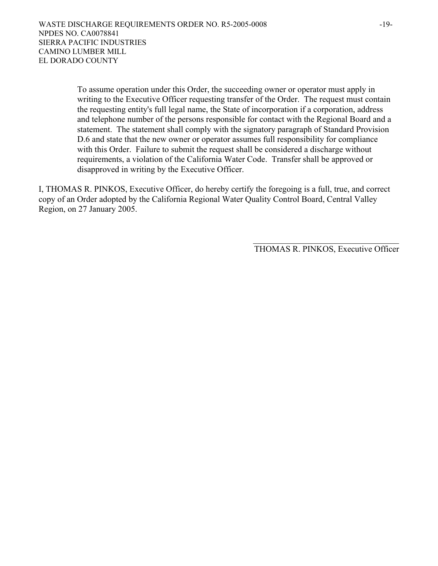To assume operation under this Order, the succeeding owner or operator must apply in writing to the Executive Officer requesting transfer of the Order. The request must contain the requesting entity's full legal name, the State of incorporation if a corporation, address and telephone number of the persons responsible for contact with the Regional Board and a statement. The statement shall comply with the signatory paragraph of Standard Provision D.6 and state that the new owner or operator assumes full responsibility for compliance with this Order. Failure to submit the request shall be considered a discharge without requirements, a violation of the California Water Code. Transfer shall be approved or disapproved in writing by the Executive Officer.

I, THOMAS R. PINKOS, Executive Officer, do hereby certify the foregoing is a full, true, and correct copy of an Order adopted by the California Regional Water Quality Control Board, Central Valley Region, on 27 January 2005.

 $\mathcal{L}_\mathcal{L} = \{ \mathcal{L}_\mathcal{L} \mid \mathcal{L}_\mathcal{L} \in \mathcal{L}_\mathcal{L} \}$ 

THOMAS R. PINKOS, Executive Officer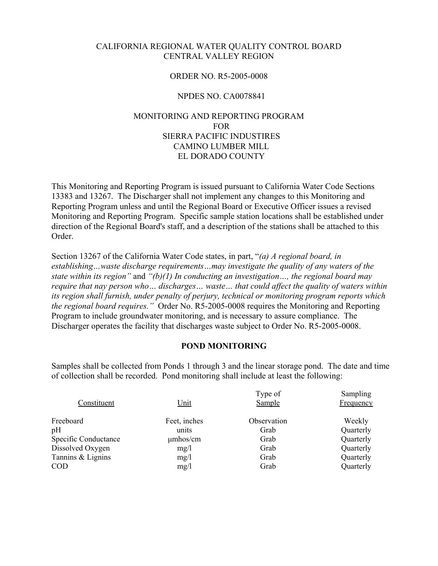#### CALIFORNIA REGIONAL WATER QUALITY CONTROL BOARD CENTRAL VALLEY REGION

### ORDER NO. R5-2005-0008

### NPDES NO. CA0078841

# MONITORING AND REPORTING PROGRAM FOR SIERRA PACIFIC INDUSTIRES CAMINO LUMBER MILL EL DORADO COUNTY

This Monitoring and Reporting Program is issued pursuant to California Water Code Sections 13383 and 13267. The Discharger shall not implement any changes to this Monitoring and Reporting Program unless and until the Regional Board or Executive Officer issues a revised Monitoring and Reporting Program. Specific sample station locations shall be established under direction of the Regional Board's staff, and a description of the stations shall be attached to this Order.

Section 13267 of the California Water Code states, in part, "*(a) A regional board, in establishing…waste discharge requirements…may investigate the quality of any waters of the state within its region"* and *"(b)(1) In conducting an investigation…, the regional board may require that nay person who… discharges… waste… that could affect the quality of waters within its region shall furnish, under penalty of perjury, technical or monitoring program reports which the regional board requires."* Order No. R5-2005-0008 requires the Monitoring and Reporting Program to include groundwater monitoring, and is necessary to assure compliance. The Discharger operates the facility that discharges waste subject to Order No. R5-2005-0008.

### **POND MONITORING**

Samples shall be collected from Ponds 1 through 3 and the linear storage pond. The date and time of collection shall be recorded. Pond monitoring shall include at least the following:

| Constituent          | Unit          | Type of<br>Sample | Sampling<br>Frequency |
|----------------------|---------------|-------------------|-----------------------|
| Freeboard            | Feet, inches  | Observation       | Weekly                |
| pH                   | units         | Grab              | Quarterly             |
| Specific Conductance | $\mu$ mhos/cm | Grab              | Quarterly             |
| Dissolved Oxygen     | mg/l          | Grab              | Quarterly             |
| Tannins & Lignins    | mg/l          | Grab              | Quarterly             |
| <b>COD</b>           | mg/l          | Grab              | Quarterly             |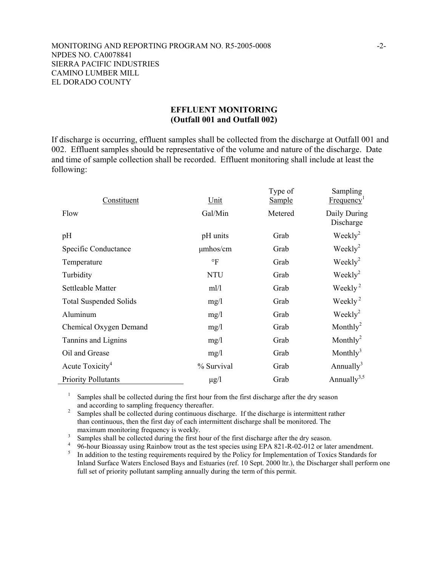#### MONITORING AND REPORTING PROGRAM NO. R5-2005-0008 -2- NPDES NO. CA0078841 SIERRA PACIFIC INDUSTRIES CAMINO LUMBER MILL EL DORADO COUNTY

### **EFFLUENT MONITORING (Outfall 001 and Outfall 002)**

If discharge is occurring, effluent samples shall be collected from the discharge at Outfall 001 and 002. Effluent samples should be representative of the volume and nature of the discharge. Date and time of sample collection shall be recorded. Effluent monitoring shall include at least the following:

| Constituent                   | Unit          | Type of<br><b>Sample</b> | Sampling<br>Frequency <sup>1</sup> |
|-------------------------------|---------------|--------------------------|------------------------------------|
| Flow                          | Gal/Min       | Metered                  | Daily During<br>Discharge          |
| pH                            | pH units      | Grab                     | Weekly <sup>2</sup>                |
| Specific Conductance          | $\mu$ mhos/cm | Grab                     | $\text{Weakly}^2$                  |
| Temperature                   | $\circ$ F     | Grab                     | $\text{Weakly}^2$                  |
| Turbidity                     | <b>NTU</b>    | Grab                     | $\text{Weakly}^2$                  |
| Settleable Matter             | ml/l          | Grab                     | Weekly <sup>2</sup>                |
| <b>Total Suspended Solids</b> | mg/l          | Grab                     | Weekly <sup>2</sup>                |
| Aluminum                      | mg/1          | Grab                     | Weekly <sup>2</sup>                |
| Chemical Oxygen Demand        | mg/1          | Grab                     | Monthly <sup>2</sup>               |
| Tannins and Lignins           | mg/1          | Grab                     | Monthly <sup>2</sup>               |
| Oil and Grease                | mg/1          | Grab                     | Monthly <sup>3</sup>               |
| Acute Toxicity <sup>4</sup>   | % Survival    | Grab                     | Annually <sup>3</sup>              |
| <b>Priority Pollutants</b>    | $\mu$ g/l     | Grab                     | Annually <sup>3,5</sup>            |

<sup>1</sup> Samples shall be collected during the first hour from the first discharge after the dry season and according to sampling frequency thereafter.

<sup>2</sup> Samples shall be collected during continuous discharge. If the discharge is intermittent rather than continuous, then the first day of each intermittent discharge shall be monitored. The maximum monitoring frequency is weekly.<br> $\frac{3}{2}$  Samples shall be collected during the first h

Samples shall be collected during the first hour of the first discharge after the dry season.

<sup>4</sup> 96-hour Bioassay using Rainbow trout as the test species using EPA 821-R-02-012 or later amendment.

 In addition to the testing requirements required by the Policy for Implementation of Toxics Standards for Inland Surface Waters Enclosed Bays and Estuaries (ref. 10 Sept. 2000 ltr.), the Discharger shall perform one full set of priority pollutant sampling annually during the term of this permit.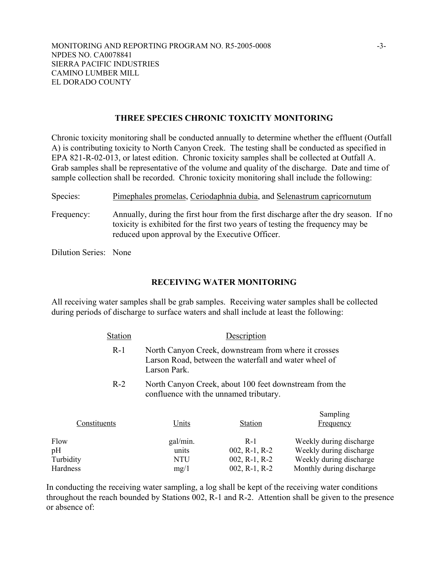## **THREE SPECIES CHRONIC TOXICITY MONITORING**

Chronic toxicity monitoring shall be conducted annually to determine whether the effluent (Outfall A) is contributing toxicity to North Canyon Creek. The testing shall be conducted as specified in EPA 821-R-02-013, or latest edition. Chronic toxicity samples shall be collected at Outfall A. Grab samples shall be representative of the volume and quality of the discharge. Date and time of sample collection shall be recorded. Chronic toxicity monitoring shall include the following:

| Species:              | Pimephales promelas, Ceriodaphnia dubia, and Selenastrum capricornutum                                                                                                                                                   |
|-----------------------|--------------------------------------------------------------------------------------------------------------------------------------------------------------------------------------------------------------------------|
| Frequency:            | Annually, during the first hour from the first discharge after the dry season. If no<br>toxicity is exhibited for the first two years of testing the frequency may be<br>reduced upon approval by the Executive Officer. |
| Dilution Series: None |                                                                                                                                                                                                                          |

### **RECEIVING WATER MONITORING**

All receiving water samples shall be grab samples. Receiving water samples shall be collected during periods of discharge to surface waters and shall include at least the following:

| <b>Station</b> | Description                                                                                                                   |
|----------------|-------------------------------------------------------------------------------------------------------------------------------|
| $R-1$          | North Canyon Creek, downstream from where it crosses<br>Larson Road, between the waterfall and water wheel of<br>Larson Park. |
| $R-2$          | North Canyon Creek, about 100 feet downstream from the<br>confluence with the unnamed tributary.                              |

 $S = \ldots$   $S = \ldots$ 

| Constituents<br>Units<br>Frequency<br><b>Station</b> |                          |
|------------------------------------------------------|--------------------------|
| Flow<br>gal/min.<br>$R-1$                            | Weekly during discharge  |
| pН<br>$002$ , R-1, R-2<br>units                      | Weekly during discharge  |
| Turbidity<br>$002$ , R-1, R-2<br>NTU                 | Weekly during discharge  |
| Hardness<br>$002$ , R-1, R-2<br>mg/1                 | Monthly during discharge |

In conducting the receiving water sampling, a log shall be kept of the receiving water conditions throughout the reach bounded by Stations 002, R-1 and R-2. Attention shall be given to the presence or absence of: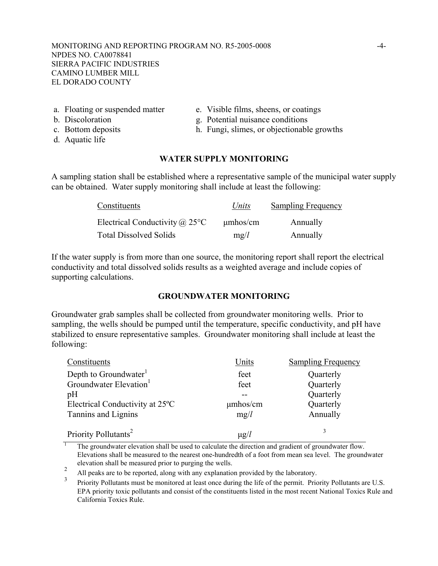MONITORING AND REPORTING PROGRAM NO. R5-2005-0008 -4- NPDES NO. CA0078841 SIERRA PACIFIC INDUSTRIES CAMINO LUMBER MILL EL DORADO COUNTY

- 
- 
- 
- d. Aquatic life
- a. Floating or suspended matter e. Visible films, sheens, or coatings
- b. Discoloration g. Potential nuisance conditions
- c. Bottom deposits h. Fungi, slimes, or objectionable growths

#### **WATER SUPPLY MONITORING**

A sampling station shall be established where a representative sample of the municipal water supply can be obtained. Water supply monitoring shall include at least the following:

| Constituents                          | Units         | <b>Sampling Frequency</b> |
|---------------------------------------|---------------|---------------------------|
| Electrical Conductivity $\omega$ 25°C | $\mu$ mhos/cm | Annually                  |
| <b>Total Dissolved Solids</b>         | mg/l          | Annually                  |

If the water supply is from more than one source, the monitoring report shall report the electrical conductivity and total dissolved solids results as a weighted average and include copies of supporting calculations.

### **GROUNDWATER MONITORING**

Groundwater grab samples shall be collected from groundwater monitoring wells. Prior to sampling, the wells should be pumped until the temperature, specific conductivity, and pH have stabilized to ensure representative samples. Groundwater monitoring shall include at least the following:

| Constituents                                 | Units         | <b>Sampling Frequency</b> |
|----------------------------------------------|---------------|---------------------------|
| Depth to Groundwater <sup>1</sup>            | feet          | Quarterly                 |
| Groundwater Elevation <sup>1</sup>           | feet          | Quarterly                 |
| pH                                           |               | Quarterly                 |
| Electrical Conductivity at 25 <sup>°</sup> C | $\mu$ mhos/cm | Quarterly                 |
| Tannins and Lignins                          | mg/l          | Annually                  |
| Priority Pollutants <sup>2</sup>             | $\mu$ g/l     |                           |

1 The groundwater elevation shall be used to calculate the direction and gradient of groundwater flow. Elevations shall be measured to the nearest one-hundredth of a foot from mean sea level. The groundwater elevation shall be measured prior to purging the wells.

2 All peaks are to be reported, along with any explanation provided by the laboratory.

3 Priority Pollutants must be monitored at least once during the life of the permit. Priority Pollutants are U.S. EPA priority toxic pollutants and consist of the constituents listed in the most recent National Toxics Rule and California Toxics Rule.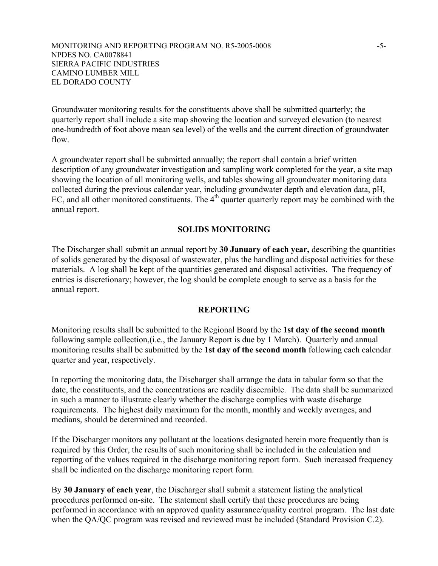Groundwater monitoring results for the constituents above shall be submitted quarterly; the quarterly report shall include a site map showing the location and surveyed elevation (to nearest one-hundredth of foot above mean sea level) of the wells and the current direction of groundwater flow.

A groundwater report shall be submitted annually; the report shall contain a brief written description of any groundwater investigation and sampling work completed for the year, a site map showing the location of all monitoring wells, and tables showing all groundwater monitoring data collected during the previous calendar year, including groundwater depth and elevation data, pH, EC, and all other monitored constituents. The  $4<sup>th</sup>$  quarter quarterly report may be combined with the annual report.

### **SOLIDS MONITORING**

The Discharger shall submit an annual report by **30 January of each year,** describing the quantities of solids generated by the disposal of wastewater, plus the handling and disposal activities for these materials. A log shall be kept of the quantities generated and disposal activities. The frequency of entries is discretionary; however, the log should be complete enough to serve as a basis for the annual report.

### **REPORTING**

Monitoring results shall be submitted to the Regional Board by the **1st day of the second month** following sample collection,(i.e., the January Report is due by 1 March). Quarterly and annual monitoring results shall be submitted by the **1st day of the second month** following each calendar quarter and year, respectively.

In reporting the monitoring data, the Discharger shall arrange the data in tabular form so that the date, the constituents, and the concentrations are readily discernible. The data shall be summarized in such a manner to illustrate clearly whether the discharge complies with waste discharge requirements. The highest daily maximum for the month, monthly and weekly averages, and medians, should be determined and recorded.

If the Discharger monitors any pollutant at the locations designated herein more frequently than is required by this Order, the results of such monitoring shall be included in the calculation and reporting of the values required in the discharge monitoring report form. Such increased frequency shall be indicated on the discharge monitoring report form.

By **30 January of each year**, the Discharger shall submit a statement listing the analytical procedures performed on-site. The statement shall certify that these procedures are being performed in accordance with an approved quality assurance/quality control program. The last date when the QA/QC program was revised and reviewed must be included (Standard Provision C.2).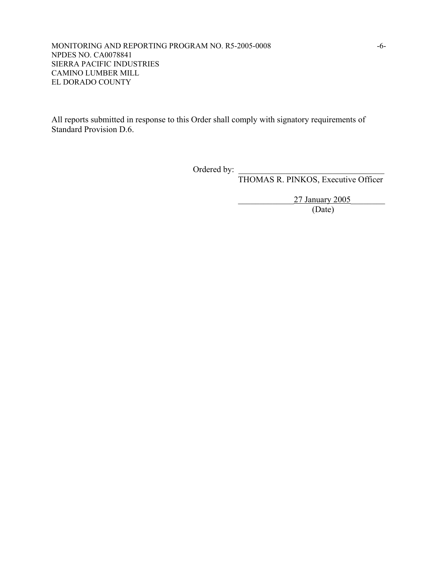MONITORING AND REPORTING PROGRAM NO. R5-2005-0008 -6- NPDES NO. CA0078841 SIERRA PACIFIC INDUSTRIES CAMINO LUMBER MILL EL DORADO COUNTY

All reports submitted in response to this Order shall comply with signatory requirements of Standard Provision D.6.

Ordered by:

THOMAS R. PINKOS, Executive Officer

27 January 2005<br>(Date)

(Date)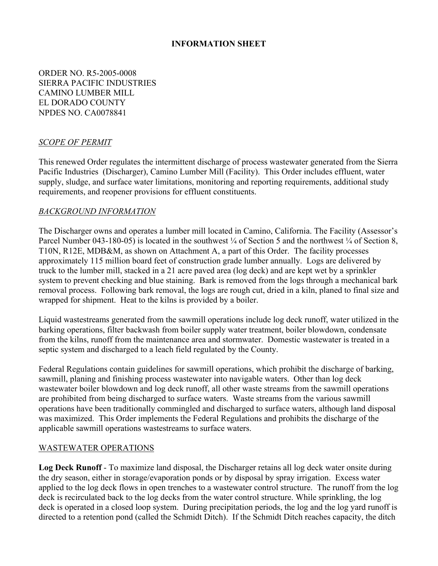# **INFORMATION SHEET**

ORDER NO. R5-2005-0008 SIERRA PACIFIC INDUSTRIES CAMINO LUMBER MILL EL DORADO COUNTY NPDES NO. CA0078841

### *SCOPE OF PERMIT*

This renewed Order regulates the intermittent discharge of process wastewater generated from the Sierra Pacific Industries (Discharger), Camino Lumber Mill (Facility). This Order includes effluent, water supply, sludge, and surface water limitations, monitoring and reporting requirements, additional study requirements, and reopener provisions for effluent constituents.

### *BACKGROUND INFORMATION*

The Discharger owns and operates a lumber mill located in Camino, California. The Facility (Assessor's Parcel Number 043-180-05) is located in the southwest  $\frac{1}{4}$  of Section 5 and the northwest  $\frac{1}{4}$  of Section 8, T10N, R12E, MDB&M, as shown on Attachment A, a part of this Order. The facility processes approximately 115 million board feet of construction grade lumber annually. Logs are delivered by truck to the lumber mill, stacked in a 21 acre paved area (log deck) and are kept wet by a sprinkler system to prevent checking and blue staining. Bark is removed from the logs through a mechanical bark removal process. Following bark removal, the logs are rough cut, dried in a kiln, planed to final size and wrapped for shipment. Heat to the kilns is provided by a boiler.

Liquid wastestreams generated from the sawmill operations include log deck runoff, water utilized in the barking operations, filter backwash from boiler supply water treatment, boiler blowdown, condensate from the kilns, runoff from the maintenance area and stormwater. Domestic wastewater is treated in a septic system and discharged to a leach field regulated by the County.

Federal Regulations contain guidelines for sawmill operations, which prohibit the discharge of barking, sawmill, planing and finishing process wastewater into navigable waters. Other than log deck wastewater boiler blowdown and log deck runoff, all other waste streams from the sawmill operations are prohibited from being discharged to surface waters. Waste streams from the various sawmill operations have been traditionally commingled and discharged to surface waters, although land disposal was maximized. This Order implements the Federal Regulations and prohibits the discharge of the applicable sawmill operations wastestreams to surface waters.

### WASTEWATER OPERATIONS

**Log Deck Runoff** - To maximize land disposal, the Discharger retains all log deck water onsite during the dry season, either in storage/evaporation ponds or by disposal by spray irrigation. Excess water applied to the log deck flows in open trenches to a wastewater control structure. The runoff from the log deck is recirculated back to the log decks from the water control structure. While sprinkling, the log deck is operated in a closed loop system. During precipitation periods, the log and the log yard runoff is directed to a retention pond (called the Schmidt Ditch). If the Schmidt Ditch reaches capacity, the ditch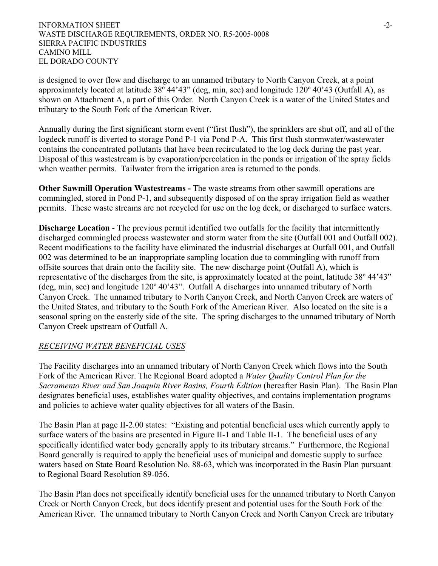#### INFORMATION SHEET  $\sim$ WASTE DISCHARGE REQUIREMENTS, ORDER NO. R5-2005-0008 SIERRA PACIFIC INDUSTRIES CAMINO MILL EL DORADO COUNTY

is designed to over flow and discharge to an unnamed tributary to North Canyon Creek, at a point approximately located at latitude 38º 44'43" (deg, min, sec) and longitude 120º 40'43 (Outfall A), as shown on Attachment A, a part of this Order. North Canyon Creek is a water of the United States and tributary to the South Fork of the American River.

Annually during the first significant storm event ("first flush"), the sprinklers are shut off, and all of the logdeck runoff is diverted to storage Pond P-1 via Pond P-A. This first flush stormwater/wastewater contains the concentrated pollutants that have been recirculated to the log deck during the past year. Disposal of this wastestream is by evaporation/percolation in the ponds or irrigation of the spray fields when weather permits. Tailwater from the irrigation area is returned to the ponds.

**Other Sawmill Operation Wastestreams -** The waste streams from other sawmill operations are commingled, stored in Pond P-1, and subsequently disposed of on the spray irrigation field as weather permits. These waste streams are not recycled for use on the log deck, or discharged to surface waters.

**Discharge Location** - The previous permit identified two outfalls for the facility that intermittently discharged commingled process wastewater and storm water from the site (Outfall 001 and Outfall 002). Recent modifications to the facility have eliminated the industrial discharges at Outfall 001, and Outfall 002 was determined to be an inappropriate sampling location due to commingling with runoff from offsite sources that drain onto the facility site. The new discharge point (Outfall A), which is representative of the discharges from the site, is approximately located at the point, latitude 38º 44'43" (deg, min, sec) and longitude 120º 40'43". Outfall A discharges into unnamed tributary of North Canyon Creek. The unnamed tributary to North Canyon Creek, and North Canyon Creek are waters of the United States, and tributary to the South Fork of the American River. Also located on the site is a seasonal spring on the easterly side of the site. The spring discharges to the unnamed tributary of North Canyon Creek upstream of Outfall A.

# *RECEIVING WATER BENEFICIAL USES*

The Facility discharges into an unnamed tributary of North Canyon Creek which flows into the South Fork of the American River. The Regional Board adopted a *Water Quality Control Plan for the Sacramento River and San Joaquin River Basins, Fourth Edition* (hereafter Basin Plan). The Basin Plan designates beneficial uses, establishes water quality objectives, and contains implementation programs and policies to achieve water quality objectives for all waters of the Basin.

The Basin Plan at page II-2.00 states: "Existing and potential beneficial uses which currently apply to surface waters of the basins are presented in Figure II-1 and Table II-1. The beneficial uses of any specifically identified water body generally apply to its tributary streams." Furthermore, the Regional Board generally is required to apply the beneficial uses of municipal and domestic supply to surface waters based on State Board Resolution No. 88-63, which was incorporated in the Basin Plan pursuant to Regional Board Resolution 89-056.

The Basin Plan does not specifically identify beneficial uses for the unnamed tributary to North Canyon Creek or North Canyon Creek, but does identify present and potential uses for the South Fork of the American River. The unnamed tributary to North Canyon Creek and North Canyon Creek are tributary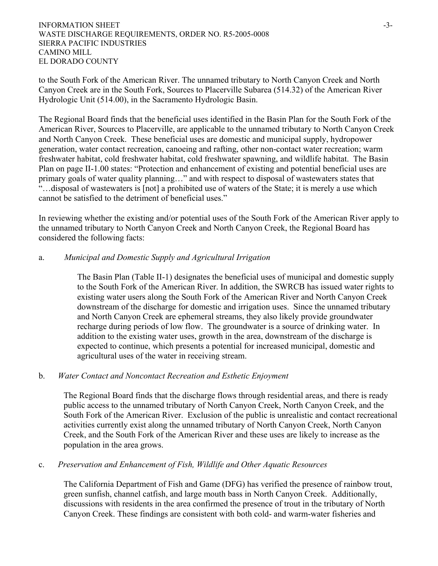#### INFORMATION SHEET  $\sim$ WASTE DISCHARGE REQUIREMENTS, ORDER NO. R5-2005-0008 SIERRA PACIFIC INDUSTRIES CAMINO MILL EL DORADO COUNTY

to the South Fork of the American River. The unnamed tributary to North Canyon Creek and North Canyon Creek are in the South Fork, Sources to Placerville Subarea (514.32) of the American River Hydrologic Unit (514.00), in the Sacramento Hydrologic Basin.

The Regional Board finds that the beneficial uses identified in the Basin Plan for the South Fork of the American River, Sources to Placerville, are applicable to the unnamed tributary to North Canyon Creek and North Canyon Creek. These beneficial uses are domestic and municipal supply, hydropower generation, water contact recreation, canoeing and rafting, other non-contact water recreation; warm freshwater habitat, cold freshwater habitat, cold freshwater spawning, and wildlife habitat. The Basin Plan on page II-1.00 states: "Protection and enhancement of existing and potential beneficial uses are primary goals of water quality planning…" and with respect to disposal of wastewaters states that "…disposal of wastewaters is [not] a prohibited use of waters of the State; it is merely a use which cannot be satisfied to the detriment of beneficial uses."

In reviewing whether the existing and/or potential uses of the South Fork of the American River apply to the unnamed tributary to North Canyon Creek and North Canyon Creek, the Regional Board has considered the following facts:

#### a. *Municipal and Domestic Supply and Agricultural Irrigation*

 The Basin Plan (Table II-1) designates the beneficial uses of municipal and domestic supply to the South Fork of the American River. In addition, the SWRCB has issued water rights to existing water users along the South Fork of the American River and North Canyon Creek downstream of the discharge for domestic and irrigation uses. Since the unnamed tributary and North Canyon Creek are ephemeral streams, they also likely provide groundwater recharge during periods of low flow. The groundwater is a source of drinking water. In addition to the existing water uses, growth in the area, downstream of the discharge is expected to continue, which presents a potential for increased municipal, domestic and agricultural uses of the water in receiving stream.

#### b. *Water Contact and Noncontact Recreation and Esthetic Enjoyment*

The Regional Board finds that the discharge flows through residential areas, and there is ready public access to the unnamed tributary of North Canyon Creek, North Canyon Creek, and the South Fork of the American River. Exclusion of the public is unrealistic and contact recreational activities currently exist along the unnamed tributary of North Canyon Creek, North Canyon Creek, and the South Fork of the American River and these uses are likely to increase as the population in the area grows.

#### c. *Preservation and Enhancement of Fish, Wildlife and Other Aquatic Resources*

The California Department of Fish and Game (DFG) has verified the presence of rainbow trout, green sunfish, channel catfish, and large mouth bass in North Canyon Creek. Additionally, discussions with residents in the area confirmed the presence of trout in the tributary of North Canyon Creek. These findings are consistent with both cold- and warm-water fisheries and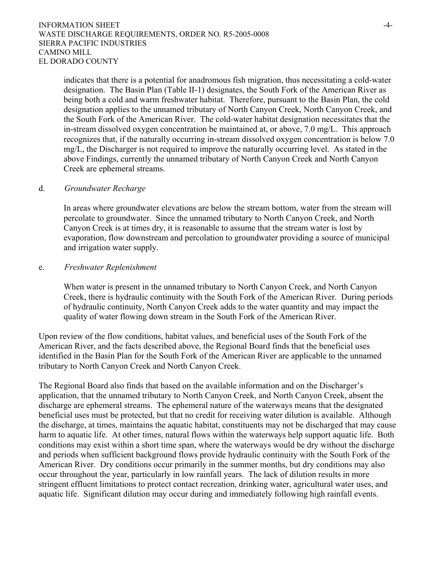indicates that there is a potential for anadromous fish migration, thus necessitating a cold-water designation. The Basin Plan (Table II-1) designates, the South Fork of the American River as being both a cold and warm freshwater habitat. Therefore, pursuant to the Basin Plan, the cold designation applies to the unnamed tributary of North Canyon Creek, North Canyon Creek, and the South Fork of the American River. The cold-water habitat designation necessitates that the in-stream dissolved oxygen concentration be maintained at, or above, 7.0 mg/L. This approach recognizes that, if the naturally occurring in-stream dissolved oxygen concentration is below 7.0 mg/L, the Discharger is not required to improve the naturally occurring level. As stated in the above Findings, currently the unnamed tributary of North Canyon Creek and North Canyon Creek are ephemeral streams.

### d. *Groundwater Recharge*

In areas where groundwater elevations are below the stream bottom, water from the stream will percolate to groundwater. Since the unnamed tributary to North Canyon Creek, and North Canyon Creek is at times dry, it is reasonable to assume that the stream water is lost by evaporation, flow downstream and percolation to groundwater providing a source of municipal and irrigation water supply.

#### e. *Freshwater Replenishment*

When water is present in the unnamed tributary to North Canyon Creek, and North Canyon Creek, there is hydraulic continuity with the South Fork of the American River. During periods of hydraulic continuity, North Canyon Creek adds to the water quantity and may impact the quality of water flowing down stream in the South Fork of the American River.

Upon review of the flow conditions, habitat values, and beneficial uses of the South Fork of the American River, and the facts described above, the Regional Board finds that the beneficial uses identified in the Basin Plan for the South Fork of the American River are applicable to the unnamed tributary to North Canyon Creek and North Canyon Creek.

The Regional Board also finds that based on the available information and on the Discharger's application, that the unnamed tributary to North Canyon Creek, and North Canyon Creek, absent the discharge are ephemeral streams. The ephemeral nature of the waterways means that the designated beneficial uses must be protected, but that no credit for receiving water dilution is available. Although the discharge, at times, maintains the aquatic habitat, constituents may not be discharged that may cause harm to aquatic life. At other times, natural flows within the waterways help support aquatic life. Both conditions may exist within a short time span, where the waterways would be dry without the discharge and periods when sufficient background flows provide hydraulic continuity with the South Fork of the American River. Dry conditions occur primarily in the summer months, but dry conditions may also occur throughout the year, particularly in low rainfall years. The lack of dilution results in more stringent effluent limitations to protect contact recreation, drinking water, agricultural water uses, and aquatic life. Significant dilution may occur during and immediately following high rainfall events.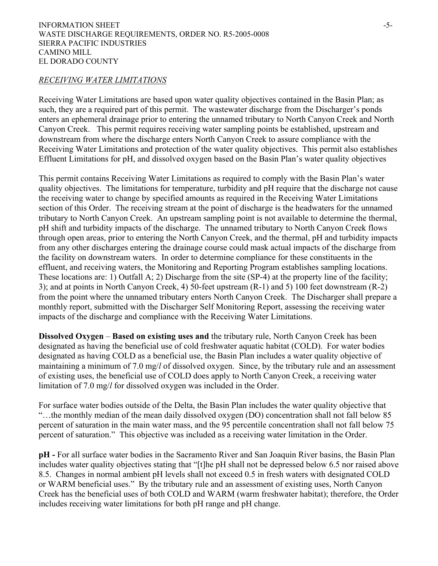#### *RECEIVING WATER LIMITATIONS*

Receiving Water Limitations are based upon water quality objectives contained in the Basin Plan; as such, they are a required part of this permit. The wastewater discharge from the Discharger's ponds enters an ephemeral drainage prior to entering the unnamed tributary to North Canyon Creek and North Canyon Creek. This permit requires receiving water sampling points be established, upstream and downstream from where the discharge enters North Canyon Creek to assure compliance with the Receiving Water Limitations and protection of the water quality objectives. This permit also establishes Effluent Limitations for pH, and dissolved oxygen based on the Basin Plan's water quality objectives

This permit contains Receiving Water Limitations as required to comply with the Basin Plan's water quality objectives. The limitations for temperature, turbidity and pH require that the discharge not cause the receiving water to change by specified amounts as required in the Receiving Water Limitations section of this Order. The receiving stream at the point of discharge is the headwaters for the unnamed tributary to North Canyon Creek. An upstream sampling point is not available to determine the thermal, pH shift and turbidity impacts of the discharge. The unnamed tributary to North Canyon Creek flows through open areas, prior to entering the North Canyon Creek, and the thermal, pH and turbidity impacts from any other discharges entering the drainage course could mask actual impacts of the discharge from the facility on downstream waters. In order to determine compliance for these constituents in the effluent, and receiving waters, the Monitoring and Reporting Program establishes sampling locations. These locations are: 1) Outfall A; 2) Discharge from the site (SP-4) at the property line of the facility; 3); and at points in North Canyon Creek, 4) 50-feet upstream (R-1) and 5) 100 feet downstream (R-2) from the point where the unnamed tributary enters North Canyon Creek. The Discharger shall prepare a monthly report, submitted with the Discharger Self Monitoring Report, assessing the receiving water impacts of the discharge and compliance with the Receiving Water Limitations.

**Dissolved Oxygen** – **Based on existing uses and** the tributary rule, North Canyon Creek has been designated as having the beneficial use of cold freshwater aquatic habitat (COLD). For water bodies designated as having COLD as a beneficial use, the Basin Plan includes a water quality objective of maintaining a minimum of 7.0 mg/*l* of dissolved oxygen. Since, by the tributary rule and an assessment of existing uses, the beneficial use of COLD does apply to North Canyon Creek, a receiving water limitation of 7.0 mg/*l* for dissolved oxygen was included in the Order.

For surface water bodies outside of the Delta, the Basin Plan includes the water quality objective that "…the monthly median of the mean daily dissolved oxygen (DO) concentration shall not fall below 85 percent of saturation in the main water mass, and the 95 percentile concentration shall not fall below 75 percent of saturation." This objective was included as a receiving water limitation in the Order.

**pH -** For all surface water bodies in the Sacramento River and San Joaquin River basins, the Basin Plan includes water quality objectives stating that "[t]he pH shall not be depressed below 6.5 nor raised above 8.5. Changes in normal ambient pH levels shall not exceed 0.5 in fresh waters with designated COLD or WARM beneficial uses." By the tributary rule and an assessment of existing uses, North Canyon Creek has the beneficial uses of both COLD and WARM (warm freshwater habitat); therefore, the Order includes receiving water limitations for both pH range and pH change.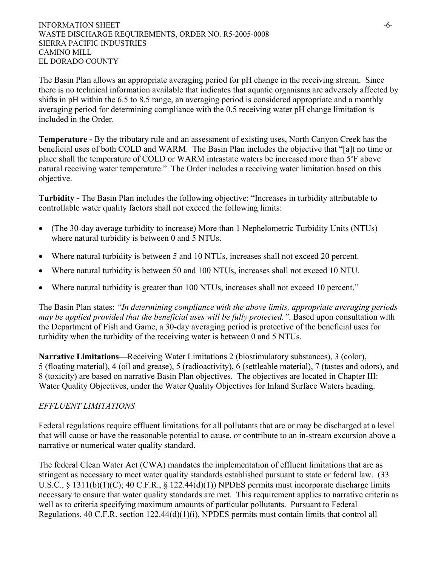The Basin Plan allows an appropriate averaging period for pH change in the receiving stream. Since there is no technical information available that indicates that aquatic organisms are adversely affected by shifts in pH within the 6.5 to 8.5 range, an averaging period is considered appropriate and a monthly averaging period for determining compliance with the 0.5 receiving water pH change limitation is included in the Order.

**Temperature -** By the tributary rule and an assessment of existing uses, North Canyon Creek has the beneficial uses of both COLD and WARM. The Basin Plan includes the objective that "[a]t no time or place shall the temperature of COLD or WARM intrastate waters be increased more than 5ºF above natural receiving water temperature." The Order includes a receiving water limitation based on this objective.

**Turbidity -** The Basin Plan includes the following objective: "Increases in turbidity attributable to controllable water quality factors shall not exceed the following limits:

- (The 30-day average turbidity to increase) More than 1 Nephelometric Turbidity Units (NTUs) where natural turbidity is between 0 and 5 NTUs.
- Where natural turbidity is between 5 and 10 NTUs, increases shall not exceed 20 percent.
- Where natural turbidity is between 50 and 100 NTUs, increases shall not exceed 10 NTU.
- Where natural turbidity is greater than 100 NTUs, increases shall not exceed 10 percent."

The Basin Plan states: *"In determining compliance with the above limits, appropriate averaging periods may be applied provided that the beneficial uses will be fully protected."*. Based upon consultation with the Department of Fish and Game, a 30-day averaging period is protective of the beneficial uses for turbidity when the turbidity of the receiving water is between 0 and 5 NTUs.

**Narrative Limitations***—*Receiving Water Limitations 2 (biostimulatory substances), 3 (color), 5 (floating material), 4 (oil and grease), 5 (radioactivity), 6 (settleable material), 7 (tastes and odors), and 8 (toxicity) are based on narrative Basin Plan objectives. The objectives are located in Chapter III: Water Quality Objectives, under the Water Quality Objectives for Inland Surface Waters heading.

# *EFFLUENT LIMITATIONS*

Federal regulations require effluent limitations for all pollutants that are or may be discharged at a level that will cause or have the reasonable potential to cause, or contribute to an in-stream excursion above a narrative or numerical water quality standard.

The federal Clean Water Act (CWA) mandates the implementation of effluent limitations that are as stringent as necessary to meet water quality standards established pursuant to state or federal law. (33 U.S.C., § 1311(b)(1)(C); 40 C.F.R., § 122.44(d)(1)) NPDES permits must incorporate discharge limits necessary to ensure that water quality standards are met. This requirement applies to narrative criteria as well as to criteria specifying maximum amounts of particular pollutants. Pursuant to Federal Regulations, 40 C.F.R. section 122.44(d)(1)(i), NPDES permits must contain limits that control all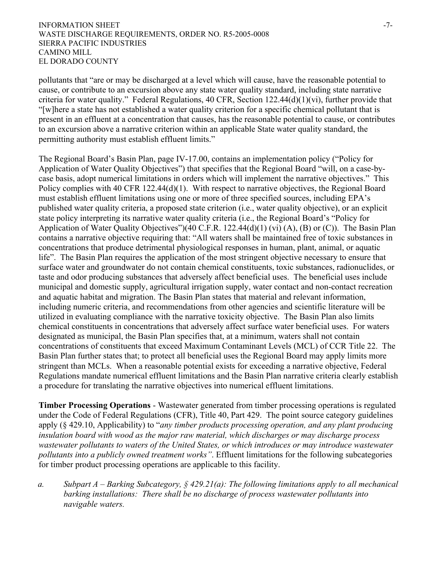#### INFORMATION SHEET  $-7$ -WASTE DISCHARGE REQUIREMENTS, ORDER NO. R5-2005-0008 SIERRA PACIFIC INDUSTRIES CAMINO MILL EL DORADO COUNTY

pollutants that "are or may be discharged at a level which will cause, have the reasonable potential to cause, or contribute to an excursion above any state water quality standard, including state narrative criteria for water quality." Federal Regulations,  $40 \text{ CFR}$ , Section  $122.44(d)(1)(vi)$ , further provide that "[w]here a state has not established a water quality criterion for a specific chemical pollutant that is present in an effluent at a concentration that causes, has the reasonable potential to cause, or contributes to an excursion above a narrative criterion within an applicable State water quality standard, the permitting authority must establish effluent limits."

The Regional Board's Basin Plan, page IV-17.00, contains an implementation policy ("Policy for Application of Water Quality Objectives") that specifies that the Regional Board "will, on a case-bycase basis, adopt numerical limitations in orders which will implement the narrative objectives." This Policy complies with 40 CFR 122.44(d)(1). With respect to narrative objectives, the Regional Board must establish effluent limitations using one or more of three specified sources, including EPA's published water quality criteria, a proposed state criterion (i.e., water quality objective), or an explicit state policy interpreting its narrative water quality criteria (i.e., the Regional Board's "Policy for Application of Water Quality Objectives")(40 C.F.R. 122.44(d)(1) (vi) (A), (B) or (C)). The Basin Plan contains a narrative objective requiring that: "All waters shall be maintained free of toxic substances in concentrations that produce detrimental physiological responses in human, plant, animal, or aquatic life". The Basin Plan requires the application of the most stringent objective necessary to ensure that surface water and groundwater do not contain chemical constituents, toxic substances, radionuclides, or taste and odor producing substances that adversely affect beneficial uses. The beneficial uses include municipal and domestic supply, agricultural irrigation supply, water contact and non-contact recreation and aquatic habitat and migration. The Basin Plan states that material and relevant information, including numeric criteria, and recommendations from other agencies and scientific literature will be utilized in evaluating compliance with the narrative toxicity objective. The Basin Plan also limits chemical constituents in concentrations that adversely affect surface water beneficial uses. For waters designated as municipal, the Basin Plan specifies that, at a minimum, waters shall not contain concentrations of constituents that exceed Maximum Contaminant Levels (MCL) of CCR Title 22. The Basin Plan further states that; to protect all beneficial uses the Regional Board may apply limits more stringent than MCLs. When a reasonable potential exists for exceeding a narrative objective, Federal Regulations mandate numerical effluent limitations and the Basin Plan narrative criteria clearly establish a procedure for translating the narrative objectives into numerical effluent limitations.

**Timber Processing Operations** - Wastewater generated from timber processing operations is regulated under the Code of Federal Regulations (CFR), Title 40, Part 429. The point source category guidelines apply (§ 429.10, Applicability) to "*any timber products processing operation, and any plant producing insulation board with wood as the major raw material, which discharges or may discharge process wastewater pollutants to waters of the United States, or which introduces or may introduce wastewater pollutants into a publicly owned treatment works"*. Effluent limitations for the following subcategories for timber product processing operations are applicable to this facility.

*a. Subpart A – Barking Subcategory, § 429.21(a): The following limitations apply to all mechanical barking installations: There shall be no discharge of process wastewater pollutants into navigable waters.*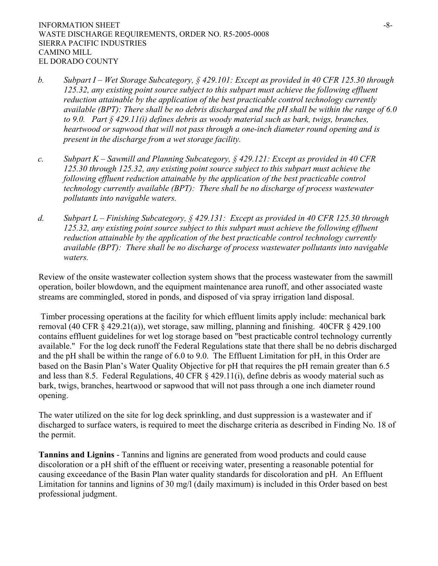- *b. Subpart I Wet Storage Subcategory, § 429.101: Except as provided in 40 CFR 125.30 through 125.32, any existing point source subject to this subpart must achieve the following effluent reduction attainable by the application of the best practicable control technology currently available (BPT): There shall be no debris discharged and the pH shall be within the range of 6.0 to 9.0. Part § 429.11(i) defines debris as woody material such as bark, twigs, branches, heartwood or sapwood that will not pass through a one-inch diameter round opening and is present in the discharge from a wet storage facility.*
- *c. Subpart K Sawmill and Planning Subcategory, § 429.121: Except as provided in 40 CFR 125.30 through 125.32, any existing point source subject to this subpart must achieve the following effluent reduction attainable by the application of the best practicable control technology currently available (BPT): There shall be no discharge of process wastewater pollutants into navigable waters.*
- *d. Subpart L Finishing Subcategory, § 429.131: Except as provided in 40 CFR 125.30 through 125.32, any existing point source subject to this subpart must achieve the following effluent reduction attainable by the application of the best practicable control technology currently available (BPT): There shall be no discharge of process wastewater pollutants into navigable waters.*

Review of the onsite wastewater collection system shows that the process wastewater from the sawmill operation, boiler blowdown, and the equipment maintenance area runoff, and other associated waste streams are commingled, stored in ponds, and disposed of via spray irrigation land disposal.

 Timber processing operations at the facility for which effluent limits apply include: mechanical bark removal (40 CFR § 429.21(a)), wet storage, saw milling, planning and finishing. 40CFR § 429.100 contains effluent guidelines for wet log storage based on "best practicable control technology currently available." For the log deck runoff the Federal Regulations state that there shall be no debris discharged and the pH shall be within the range of 6.0 to 9.0. The Effluent Limitation for pH, in this Order are based on the Basin Plan's Water Quality Objective for pH that requires the pH remain greater than 6.5 and less than 8.5. Federal Regulations, 40 CFR § 429.11(i), define debris as woody material such as bark, twigs, branches, heartwood or sapwood that will not pass through a one inch diameter round opening.

The water utilized on the site for log deck sprinkling, and dust suppression is a wastewater and if discharged to surface waters, is required to meet the discharge criteria as described in Finding No. 18 of the permit.

**Tannins and Lignins** - Tannins and lignins are generated from wood products and could cause discoloration or a pH shift of the effluent or receiving water, presenting a reasonable potential for causing exceedance of the Basin Plan water quality standards for discoloration and pH. An Effluent Limitation for tannins and lignins of 30 mg/l (daily maximum) is included in this Order based on best professional judgment.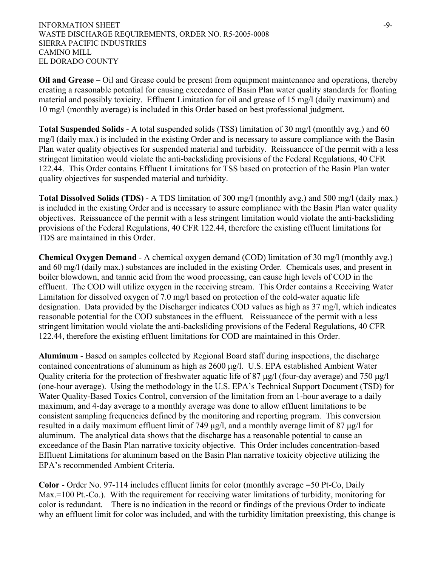**Oil and Grease** *–* Oil and Grease could be present from equipment maintenance and operations, thereby creating a reasonable potential for causing exceedance of Basin Plan water quality standards for floating material and possibly toxicity. Effluent Limitation for oil and grease of 15 mg/l (daily maximum) and 10 mg/l (monthly average) is included in this Order based on best professional judgment.

**Total Suspended Solids** - A total suspended solids (TSS) limitation of 30 mg/l (monthly avg.) and 60 mg/l (daily max.) is included in the existing Order and is necessary to assure compliance with the Basin Plan water quality objectives for suspended material and turbidity. Reissuancce of the permit with a less stringent limitation would violate the anti-backsliding provisions of the Federal Regulations, 40 CFR 122.44. This Order contains Effluent Limitations for TSS based on protection of the Basin Plan water quality objectives for suspended material and turbidity.

**Total Dissolved Solids (TDS)** - A TDS limitation of 300 mg/l (monthly avg.) and 500 mg/l (daily max.) is included in the existing Order and is necessary to assure compliance with the Basin Plan water quality objectives. Reissuancce of the permit with a less stringent limitation would violate the anti-backsliding provisions of the Federal Regulations, 40 CFR 122.44, therefore the existing effluent limitations for TDS are maintained in this Order.

**Chemical Oxygen Demand** - A chemical oxygen demand (COD) limitation of 30 mg/l (monthly avg.) and 60 mg/l (daily max.) substances are included in the existing Order. Chemicals uses, and present in boiler blowdown, and tannic acid from the wood processing, can cause high levels of COD in the effluent. The COD will utilize oxygen in the receiving stream. This Order contains a Receiving Water Limitation for dissolved oxygen of 7.0 mg/l based on protection of the cold-water aquatic life designation. Data provided by the Discharger indicates COD values as high as 37 mg/l, which indicates reasonable potential for the COD substances in the effluent. Reissuancce of the permit with a less stringent limitation would violate the anti-backsliding provisions of the Federal Regulations, 40 CFR 122.44, therefore the existing effluent limitations for COD are maintained in this Order.

**Aluminum** - Based on samples collected by Regional Board staff during inspections, the discharge contained concentrations of aluminum as high as 2600 µg/l. U.S. EPA established Ambient Water Quality criteria for the protection of freshwater aquatic life of 87  $\mu$ g/l (four-day average) and 750  $\mu$ g/l (one-hour average). Using the methodology in the U.S. EPA's Technical Support Document (TSD) for Water Quality-Based Toxics Control, conversion of the limitation from an 1-hour average to a daily maximum, and 4-day average to a monthly average was done to allow effluent limitations to be consistent sampling frequencies defined by the monitoring and reporting program. This conversion resulted in a daily maximum effluent limit of 749 µg/l, and a monthly average limit of 87 µg/l for aluminum. The analytical data shows that the discharge has a reasonable potential to cause an exceedance of the Basin Plan narrative toxicity objective. This Order includes concentration-based Effluent Limitations for aluminum based on the Basin Plan narrative toxicity objective utilizing the EPA's recommended Ambient Criteria.

**Color** - Order No. 97-114 includes effluent limits for color (monthly average =50 Pt-Co, Daily Max.=100 Pt.-Co.). With the requirement for receiving water limitations of turbidity, monitoring for color is redundant. There is no indication in the record or findings of the previous Order to indicate why an effluent limit for color was included, and with the turbidity limitation preexisting, this change is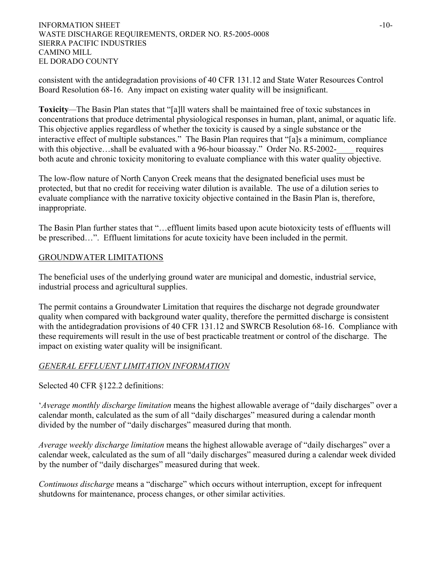consistent with the antidegradation provisions of 40 CFR 131.12 and State Water Resources Control Board Resolution 68-16. Any impact on existing water quality will be insignificant.

**Toxicity***—*The Basin Plan states that "[a]ll waters shall be maintained free of toxic substances in concentrations that produce detrimental physiological responses in human, plant, animal, or aquatic life. This objective applies regardless of whether the toxicity is caused by a single substance or the interactive effect of multiple substances." The Basin Plan requires that "[a]s a minimum, compliance with this objective…shall be evaluated with a 96-hour bioassay." Order No. R5-2002- requires both acute and chronic toxicity monitoring to evaluate compliance with this water quality objective.

The low-flow nature of North Canyon Creek means that the designated beneficial uses must be protected, but that no credit for receiving water dilution is available. The use of a dilution series to evaluate compliance with the narrative toxicity objective contained in the Basin Plan is, therefore, inappropriate.

The Basin Plan further states that "…effluent limits based upon acute biotoxicity tests of effluents will be prescribed…". Effluent limitations for acute toxicity have been included in the permit.

# GROUNDWATER LIMITATIONS

The beneficial uses of the underlying ground water are municipal and domestic, industrial service, industrial process and agricultural supplies.

The permit contains a Groundwater Limitation that requires the discharge not degrade groundwater quality when compared with background water quality, therefore the permitted discharge is consistent with the antidegradation provisions of 40 CFR 131.12 and SWRCB Resolution 68-16. Compliance with these requirements will result in the use of best practicable treatment or control of the discharge. The impact on existing water quality will be insignificant.

# *GENERAL EFFLUENT LIMITATION INFORMATION*

Selected 40 CFR §122.2 definitions:

'*Average monthly discharge limitation* means the highest allowable average of "daily discharges" over a calendar month, calculated as the sum of all "daily discharges" measured during a calendar month divided by the number of "daily discharges" measured during that month.

*Average weekly discharge limitation* means the highest allowable average of "daily discharges" over a calendar week, calculated as the sum of all "daily discharges" measured during a calendar week divided by the number of "daily discharges" measured during that week.

*Continuous discharge* means a "discharge" which occurs without interruption, except for infrequent shutdowns for maintenance, process changes, or other similar activities.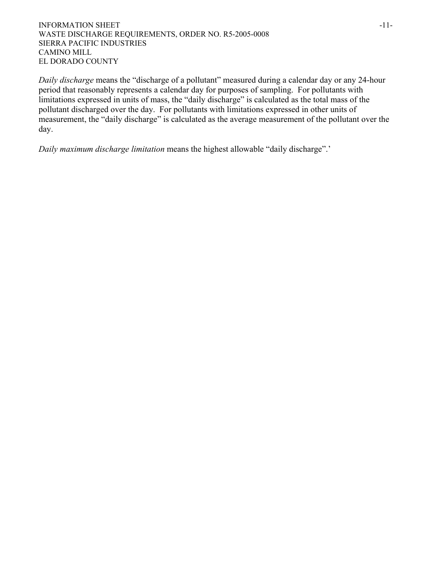#### INFORMATION SHEET  $-11$ -WASTE DISCHARGE REQUIREMENTS, ORDER NO. R5-2005-0008 SIERRA PACIFIC INDUSTRIES CAMINO MILL EL DORADO COUNTY

*Daily discharge* means the "discharge of a pollutant" measured during a calendar day or any 24-hour period that reasonably represents a calendar day for purposes of sampling. For pollutants with limitations expressed in units of mass, the "daily discharge" is calculated as the total mass of the pollutant discharged over the day. For pollutants with limitations expressed in other units of measurement, the "daily discharge" is calculated as the average measurement of the pollutant over the day.

*Daily maximum discharge limitation* means the highest allowable "daily discharge".'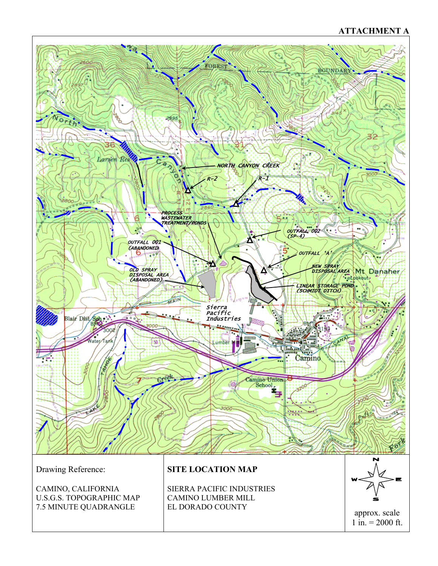# **ATTACHMENT A**



CAMINO, CALIFORNIA U.S.G.S. TOPOGRAPHIC MAP 7.5 MINUTE QUADRANGLE

SIERRA PACIFIC INDUSTRIES CAMINO LUMBER MILL EL DORADO COUNTY



approx. scale 1 in.  $= 2000$  ft.